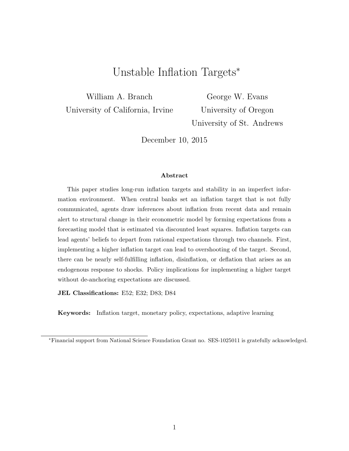## Unstable Inflation Targets<sup>∗</sup>

William A. Branch

University of California, Irvine

George W. Evans University of Oregon University of St. Andrews

December 10, 2015

#### Abstract

This paper studies long-run inflation targets and stability in an imperfect information environment. When central banks set an inflation target that is not fully communicated, agents draw inferences about inflation from recent data and remain alert to structural change in their econometric model by forming expectations from a forecasting model that is estimated via discounted least squares. Inflation targets can lead agents' beliefs to depart from rational expectations through two channels. First, implementing a higher inflation target can lead to overshooting of the target. Second, there can be nearly self-fulfilling inflation, disinflation, or deflation that arises as an endogenous response to shocks. Policy implications for implementing a higher target without de-anchoring expectations are discussed.

JEL Classifications: E52; E32; D83; D84

Keywords: Inflation target, monetary policy, expectations, adaptive learning

<sup>∗</sup>Financial support from National Science Foundation Grant no. SES-1025011 is gratefully acknowledged.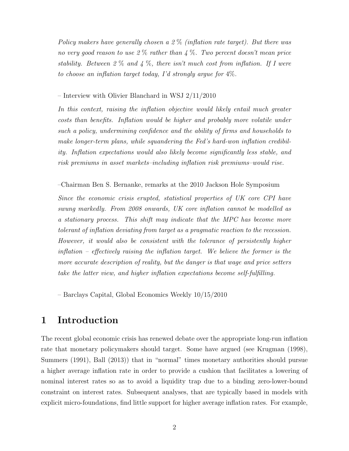Policy makers have generally chosen a  $2\%$  (inflation rate target). But there was no very good reason to use 2 % rather than 4 %. Two percent doesn't mean price stability. Between  $2\%$  and  $4\%$ , there isn't much cost from inflation. If I were to choose an inflation target today, I'd strongly argue for 4%.

#### – Interview with Olivier Blanchard in WSJ 2/11/2010

In this context, raising the inflation objective would likely entail much greater costs than benefits. Inflation would be higher and probably more volatile under such a policy, undermining confidence and the ability of firms and households to make longer-term plans, while squandering the Fed's hard-won inflation credibility. Inflation expectations would also likely become significantly less stable, and risk premiums in asset markets–including inflation risk premiums–would rise.

–Chairman Ben S. Bernanke, remarks at the 2010 Jackson Hole Symposium

Since the economic crisis erupted, statistical properties of UK core CPI have swung markedly. From 2008 onwards, UK core inflation cannot be modelled as a stationary process. This shift may indicate that the MPC has become more tolerant of inflation deviating from target as a pragmatic reaction to the recession. However, it would also be consistent with the tolerance of persistently higher inflation – effectively raising the inflation target. We believe the former is the more accurate description of reality, but the danger is that wage and price setters take the latter view, and higher inflation expectations become self-fulfilling.

– Barclays Capital, Global Economics Weekly 10/15/2010

## 1 Introduction

The recent global economic crisis has renewed debate over the appropriate long-run inflation rate that monetary policymakers should target. Some have argued (see Krugman (1998), Summers (1991), Ball (2013)) that in "normal" times monetary authorities should pursue a higher average inflation rate in order to provide a cushion that facilitates a lowering of nominal interest rates so as to avoid a liquidity trap due to a binding zero-lower-bound constraint on interest rates. Subsequent analyses, that are typically based in models with explicit micro-foundations, find little support for higher average inflation rates. For example,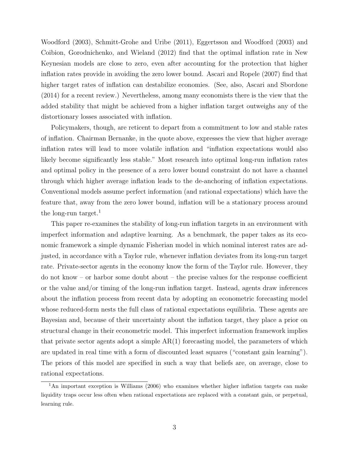Woodford (2003), Schmitt-Grohe and Uribe (2011), Eggertsson and Woodford (2003) and Coibion, Gorodnichenko, and Wieland (2012) find that the optimal inflation rate in New Keynesian models are close to zero, even after accounting for the protection that higher inflation rates provide in avoiding the zero lower bound. Ascari and Ropele (2007) find that higher target rates of inflation can destabilize economies. (See, also, Ascari and Sbordone (2014) for a recent review.) Nevertheless, among many economists there is the view that the added stability that might be achieved from a higher inflation target outweighs any of the distortionary losses associated with inflation.

Policymakers, though, are reticent to depart from a commitment to low and stable rates of inflation. Chairman Bernanke, in the quote above, expresses the view that higher average inflation rates will lead to more volatile inflation and "inflation expectations would also likely become significantly less stable." Most research into optimal long-run inflation rates and optimal policy in the presence of a zero lower bound constraint do not have a channel through which higher average inflation leads to the de-anchoring of inflation expectations. Conventional models assume perfect information (and rational expectations) which have the feature that, away from the zero lower bound, inflation will be a stationary process around the long-run target.<sup>1</sup>

This paper re-examines the stability of long-run inflation targets in an environment with imperfect information and adaptive learning. As a benchmark, the paper takes as its economic framework a simple dynamic Fisherian model in which nominal interest rates are adjusted, in accordance with a Taylor rule, whenever inflation deviates from its long-run target rate. Private-sector agents in the economy know the form of the Taylor rule. However, they do not know – or harbor some doubt about – the precise values for the response coefficient or the value and/or timing of the long-run inflation target. Instead, agents draw inferences about the inflation process from recent data by adopting an econometric forecasting model whose reduced-form nests the full class of rational expectations equilibria. These agents are Bayesian and, because of their uncertainty about the inflation target, they place a prior on structural change in their econometric model. This imperfect information framework implies that private sector agents adopt a simple  $AR(1)$  forecasting model, the parameters of which are updated in real time with a form of discounted least squares ("constant gain learning"). The priors of this model are specified in such a way that beliefs are, on average, close to rational expectations.

<sup>&</sup>lt;sup>1</sup>An important exception is Williams (2006) who examines whether higher inflation targets can make liquidity traps occur less often when rational expectations are replaced with a constant gain, or perpetual, learning rule.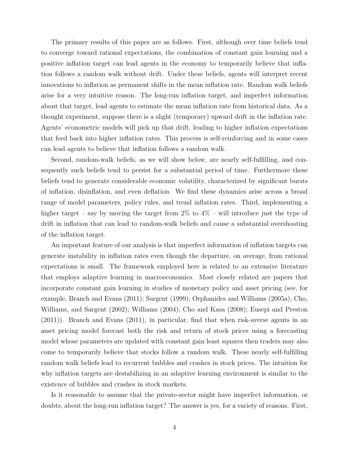The primary results of this paper are as follows. First, although over time beliefs tend to converge toward rational expectations, the combination of constant gain learning and a positive inflation target can lead agents in the economy to temporarily believe that inflation follows a random walk without drift. Under these beliefs, agents will interpret recent innovations to inflation as permanent shifts in the mean inflation rate. Random walk beliefs arise for a very intuitive reason. The long-run inflation target, and imperfect information about that target, lead agents to estimate the mean inflation rate from historical data. As a thought experiment, suppose there is a slight (temporary) upward drift in the inflation rate. Agents' econometric models will pick up that drift, leading to higher inflation expectations that feed back into higher inflation rates. This process is self-reinforcing and in some cases can lead agents to believe that inflation follows a random walk.

Second, random-walk beliefs, as we will show below, are nearly self-fulfilling, and consequently such beliefs tend to persist for a substantial period of time. Furthermore these beliefs tend to generate considerable economic volatility, characterized by significant bursts of inflation, disinflation, and even deflation. We find these dynamics arise across a broad range of model parameters, policy rules, and trend inflation rates. Third, implementing a higher target – say by moving the target from  $2\%$  to  $4\%$  – will introduce just the type of drift in inflation that can lead to random-walk beliefs and cause a substantial overshooting of the inflation target.

An important feature of our analysis is that imperfect information of inflation targets can generate instability in inflation rates even though the departure, on average, from rational expectations is small. The framework employed here is related to an extensive literature that employs adaptive learning in macroeconomics. Most closely related are papers that incorporate constant gain learning in studies of monetary policy and asset pricing (see, for example, Branch and Evans (2011); Sargent (1999); Orphanides and Williams (2005a); Cho, Williams, and Sargent (2002); Williams (2004); Cho and Kasa (2008); Eusepi and Preston (2011)). Branch and Evans (2011), in particular, find that when risk-averse agents in an asset pricing model forecast both the risk and return of stock prices using a forecasting model whose parameters are updated with constant gain least squares then traders may also come to temporarily believe that stocks follow a random walk. These nearly self-fulfilling random walk beliefs lead to recurrent bubbles and crashes in stock prices. The intuition for why inflation targets are destabilizing in an adaptive learning environment is similar to the existence of bubbles and crashes in stock markets.

Is it reasonable to assume that the private-sector might have imperfect information, or doubts, about the long-run inflation target? The answer is yes, for a variety of reasons. First,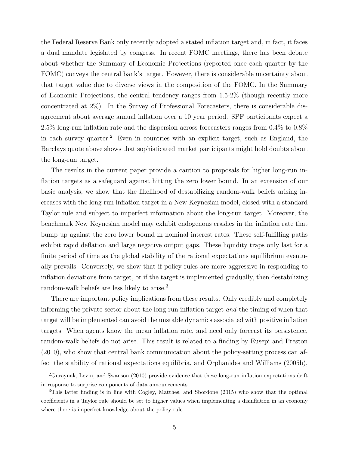the Federal Reserve Bank only recently adopted a stated inflation target and, in fact, it faces a dual mandate legislated by congress. In recent FOMC meetings, there has been debate about whether the Summary of Economic Projections (reported once each quarter by the FOMC) conveys the central bank's target. However, there is considerable uncertainty about that target value due to diverse views in the composition of the FOMC. In the Summary of Economic Projections, the central tendency ranges from 1.5-2% (though recently more concentrated at 2%). In the Survey of Professional Forecasters, there is considerable disagreement about average annual inflation over a 10 year period. SPF participants expect a 2.5% long-run inflation rate and the dispersion across forecasters ranges from 0.4% to 0.8% in each survey quarter.<sup>2</sup> Even in countries with an explicit target, such as England, the Barclays quote above shows that sophisticated market participants might hold doubts about the long-run target.

The results in the current paper provide a caution to proposals for higher long-run inflation targets as a safeguard against hitting the zero lower bound. In an extension of our basic analysis, we show that the likelihood of destabilizing random-walk beliefs arising increases with the long-run inflation target in a New Keynesian model, closed with a standard Taylor rule and subject to imperfect information about the long-run target. Moreover, the benchmark New Keynesian model may exhibit endogenous crashes in the inflation rate that bump up against the zero lower bound in nominal interest rates. These self-fulfilling paths exhibit rapid deflation and large negative output gaps. These liquidity traps only last for a finite period of time as the global stability of the rational expectations equilibrium eventually prevails. Conversely, we show that if policy rules are more aggressive in responding to inflation deviations from target, or if the target is implemented gradually, then destabilizing random-walk beliefs are less likely to arise.<sup>3</sup>

There are important policy implications from these results. Only credibly and completely informing the private-sector about the long-run inflation target and the timing of when that target will be implemented can avoid the unstable dynamics associated with positive inflation targets. When agents know the mean inflation rate, and need only forecast its persistence, random-walk beliefs do not arise. This result is related to a finding by Eusepi and Preston (2010), who show that central bank communication about the policy-setting process can affect the stability of rational expectations equilibria, and Orphanides and Williams (2005b),

<sup>2</sup>Guraynak, Levin, and Swanson (2010) provide evidence that these long-run inflation expectations drift in response to surprise components of data announcements.

<sup>3</sup>This latter finding is in line with Cogley, Matthes, and Sbordone (2015) who show that the optimal coefficients in a Taylor rule should be set to higher values when implementing a disinflation in an economy where there is imperfect knowledge about the policy rule.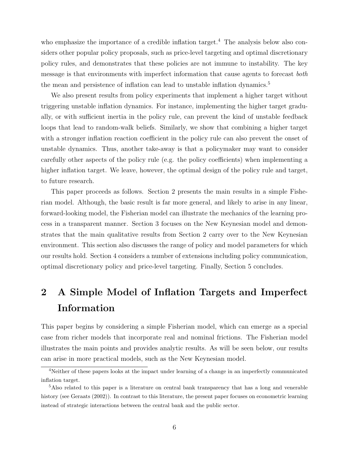who emphasize the importance of a credible inflation target.<sup>4</sup> The analysis below also considers other popular policy proposals, such as price-level targeting and optimal discretionary policy rules, and demonstrates that these policies are not immune to instability. The key message is that environments with imperfect information that cause agents to forecast *both* the mean and persistence of inflation can lead to unstable inflation dynamics.<sup>5</sup>

We also present results from policy experiments that implement a higher target without triggering unstable inflation dynamics. For instance, implementing the higher target gradually, or with sufficient inertia in the policy rule, can prevent the kind of unstable feedback loops that lead to random-walk beliefs. Similarly, we show that combining a higher target with a stronger inflation reaction coefficient in the policy rule can also prevent the onset of unstable dynamics. Thus, another take-away is that a policymaker may want to consider carefully other aspects of the policy rule (e.g. the policy coefficients) when implementing a higher inflation target. We leave, however, the optimal design of the policy rule and target, to future research.

This paper proceeds as follows. Section 2 presents the main results in a simple Fisherian model. Although, the basic result is far more general, and likely to arise in any linear, forward-looking model, the Fisherian model can illustrate the mechanics of the learning process in a transparent manner. Section 3 focuses on the New Keynesian model and demonstrates that the main qualitative results from Section 2 carry over to the New Keynesian environment. This section also discusses the range of policy and model parameters for which our results hold. Section 4 considers a number of extensions including policy communication, optimal discretionary policy and price-level targeting. Finally, Section 5 concludes.

# 2 A Simple Model of Inflation Targets and Imperfect Information

This paper begins by considering a simple Fisherian model, which can emerge as a special case from richer models that incorporate real and nominal frictions. The Fisherian model illustrates the main points and provides analytic results. As will be seen below, our results can arise in more practical models, such as the New Keynesian model.

<sup>4</sup>Neither of these papers looks at the impact under learning of a change in an imperfectly communicated inflation target.

<sup>5</sup>Also related to this paper is a literature on central bank transparency that has a long and venerable history (see Geraats (2002)). In contrast to this literature, the present paper focuses on econometric learning instead of strategic interactions between the central bank and the public sector.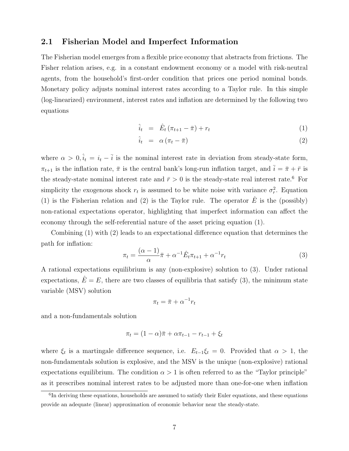### 2.1 Fisherian Model and Imperfect Information

The Fisherian model emerges from a flexible price economy that abstracts from frictions. The Fisher relation arises, e.g. in a constant endowment economy or a model with risk-neutral agents, from the household's first-order condition that prices one period nominal bonds. Monetary policy adjusts nominal interest rates according to a Taylor rule. In this simple (log-linearized) environment, interest rates and inflation are determined by the following two equations

$$
\hat{i}_t = \hat{E}_t (\pi_{t+1} - \bar{\pi}) + r_t \tag{1}
$$

$$
\hat{i}_t = \alpha \left( \pi_t - \bar{\pi} \right) \tag{2}
$$

where  $\alpha > 0$ ,  $\hat{i}_t = i_t - \overline{i}$  is the nominal interest rate in deviation from steady-state form,  $\pi_{t+1}$  is the inflation rate,  $\bar{\pi}$  is the central bank's long-run inflation target, and  $\bar{i} = \bar{\pi} + \bar{r}$  is the steady-state nominal interest rate and  $\bar{r} > 0$  is the steady-state real interest rate.<sup>6</sup> For simplicity the exogenous shock  $r_t$  is assumed to be white noise with variance  $\sigma_r^2$ . Equation (1) is the Fisherian relation and (2) is the Taylor rule. The operator  $\hat{E}$  is the (possibly) non-rational expectations operator, highlighting that imperfect information can affect the economy through the self-referential nature of the asset pricing equation (1).

Combining (1) with (2) leads to an expectational difference equation that determines the path for inflation:

$$
\pi_t = \frac{(\alpha - 1)}{\alpha} \bar{\pi} + \alpha^{-1} \hat{E}_t \pi_{t+1} + \alpha^{-1} r_t \tag{3}
$$

A rational expectations equilibrium is any (non-explosive) solution to (3). Under rational expectations,  $\hat{E} = E$ , there are two classes of equilibria that satisfy (3), the minimum state variable (MSV) solution

$$
\pi_t = \bar{\pi} + \alpha^{-1} r_t
$$

and a non-fundamentals solution

$$
\pi_t = (1 - \alpha)\bar{\pi} + \alpha \pi_{t-1} - r_{t-1} + \xi_t
$$

where  $\xi_t$  is a martingale difference sequence, i.e.  $E_{t-1}\xi_t = 0$ . Provided that  $\alpha > 1$ , the non-fundamentals solution is explosive, and the MSV is the unique (non-explosive) rational expectations equilibrium. The condition  $\alpha > 1$  is often referred to as the "Taylor principle" as it prescribes nominal interest rates to be adjusted more than one-for-one when inflation

<sup>&</sup>lt;sup>6</sup>In deriving these equations, households are assumed to satisfy their Euler equations, and these equations provide an adequate (linear) approximation of economic behavior near the steady-state.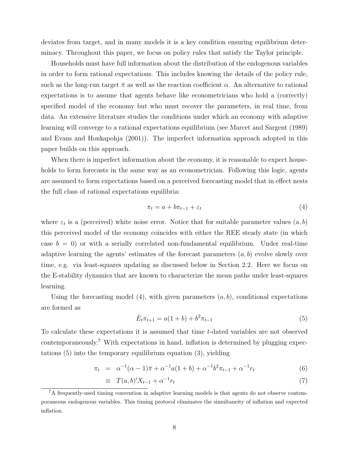deviates from target, and in many models it is a key condition ensuring equilibrium determinacy. Throughout this paper, we focus on policy rules that satisfy the Taylor principle.

Households must have full information about the distribution of the endogenous variables in order to form rational expectations. This includes knowing the details of the policy rule, such as the long-run target  $\bar{\pi}$  as well as the reaction coefficient  $\alpha$ . An alternative to rational expectations is to assume that agents behave like econometricians who hold a (correctly) specified model of the economy but who must recover the parameters, in real time, from data. An extensive literature studies the conditions under which an economy with adaptive learning will converge to a rational expectations equilibrium (see Marcet and Sargent (1989) and Evans and Honkapohja (2001)). The imperfect information approach adopted in this paper builds on this approach.

When there is imperfect information about the economy, it is reasonable to expect households to form forecasts in the same way as an econometrician. Following this logic, agents are assumed to form expectations based on a perceived forecasting model that in effect nests the full class of rational expectations equilibria:

$$
\pi_t = a + b\pi_{t-1} + \varepsilon_t \tag{4}
$$

where  $\varepsilon_t$  is a (perceived) white noise error. Notice that for suitable parameter values  $(a, b)$ this perceived model of the economy coincides with either the REE steady state (in which case  $b = 0$ ) or with a serially correlated non-fundamental equilibrium. Under real-time adaptive learning the agents' estimates of the forecast parameters  $(a, b)$  evolve slowly over time, e.g. via least-squares updating as discussed below in Section 2.2. Here we focus on the E-stability dynamics that are known to characterize the mean paths under least-squares learning.

Using the forecasting model (4), with given parameters  $(a, b)$ , conditional expectations are formed as

$$
\hat{E}_t \pi_{t+1} = a(1+b) + b^2 \pi_{t-1} \tag{5}
$$

To calculate these expectations it is assumed that time t-dated variables are not observed contemporaneously.<sup>7</sup> With expectations in hand, inflation is determined by plugging expectations (5) into the temporary equilibrium equation (3), yielding

$$
\pi_t = \alpha^{-1}(\alpha - 1)\bar{\pi} + \alpha^{-1}a(1 + b) + \alpha^{-1}b^2\pi_{t-1} + \alpha^{-1}r_t \tag{6}
$$

$$
\equiv T(a,b)'X_{t-1} + \alpha^{-1}r_t \tag{7}
$$

<sup>7</sup>A frequently-used timing convention in adaptive learning models is that agents do not observe contemporaneous endogenous variables. This timing protocol eliminates the simultaneity of inflation and expected inflation.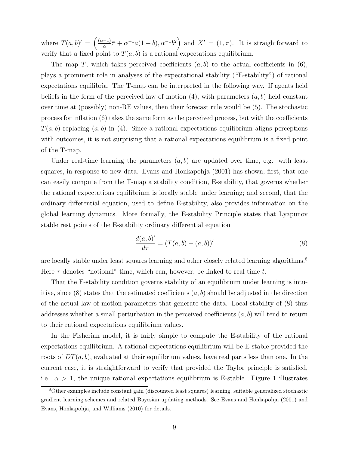where  $T(a, b)' = \left(\frac{(a-1)}{a}\right)$  $\frac{(-1)}{\alpha}\bar{\pi} + \alpha^{-1}a(1+b), \alpha^{-1}b^2$  and  $X' = (1, \pi)$ . It is straightforward to verify that a fixed point to  $T(a, b)$  is a rational expectations equilibrium.

The map T, which takes perceived coefficients  $(a, b)$  to the actual coefficients in (6), plays a prominent role in analyses of the expectational stability ("E-stability") of rational expectations equilibria. The T-map can be interpreted in the following way. If agents held beliefs in the form of the perceived law of motion  $(4)$ , with parameters  $(a, b)$  held constant over time at (possibly) non-RE values, then their forecast rule would be (5). The stochastic process for inflation (6) takes the same form as the perceived process, but with the coefficients  $T(a, b)$  replacing  $(a, b)$  in (4). Since a rational expectations equilibrium aligns perceptions with outcomes, it is not surprising that a rational expectations equilibrium is a fixed point of the T-map.

Under real-time learning the parameters  $(a, b)$  are updated over time, e.g. with least squares, in response to new data. Evans and Honkapohja (2001) has shown, first, that one can easily compute from the T-map a stability condition, E-stability, that governs whether the rational expectations equilibrium is locally stable under learning; and second, that the ordinary differential equation, used to define E-stability, also provides information on the global learning dynamics. More formally, the E-stability Principle states that Lyapunov stable rest points of the E-stability ordinary differential equation

$$
\frac{d(a,b)'}{d\tau} = (T(a,b) - (a,b))'
$$
\n(8)

are locally stable under least squares learning and other closely related learning algorithms.<sup>8</sup> Here  $\tau$  denotes "notional" time, which can, however, be linked to real time t.

That the E-stability condition governs stability of an equilibrium under learning is intuitive, since  $(8)$  states that the estimated coefficients  $(a, b)$  should be adjusted in the direction of the actual law of motion parameters that generate the data. Local stability of (8) thus addresses whether a small perturbation in the perceived coefficients  $(a, b)$  will tend to return to their rational expectations equilibrium values.

In the Fisherian model, it is fairly simple to compute the E-stability of the rational expectations equilibrium. A rational expectations equilibrium will be E-stable provided the roots of  $DT(a, b)$ , evaluated at their equilibrium values, have real parts less than one. In the current case, it is straightforward to verify that provided the Taylor principle is satisfied, i.e.  $\alpha > 1$ , the unique rational expectations equilibrium is E-stable. Figure 1 illustrates

<sup>8</sup>Other examples include constant gain (discounted least squares) learning, suitable generalized stochastic gradient learning schemes and related Bayesian updating methods. See Evans and Honkapohja (2001) and Evans, Honkapohja, and Williams (2010) for details.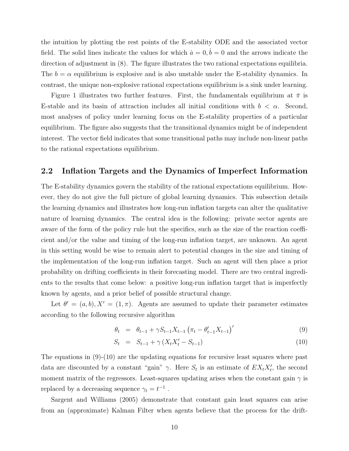the intuition by plotting the rest points of the E-stability ODE and the associated vector field. The solid lines indicate the values for which  $\dot{a} = 0, \dot{b} = 0$  and the arrows indicate the direction of adjustment in (8). The figure illustrates the two rational expectations equilibria. The  $b = \alpha$  equilibrium is explosive and is also unstable under the E-stability dynamics. In contrast, the unique non-explosive rational expectations equilibrium is a sink under learning.

Figure 1 illustrates two further features. First, the fundamentals equilibrium at  $\bar{\pi}$  is E-stable and its basin of attraction includes all initial conditions with  $b < \alpha$ . Second, most analyses of policy under learning focus on the E-stability properties of a particular equilibrium. The figure also suggests that the transitional dynamics might be of independent interest. The vector field indicates that some transitional paths may include non-linear paths to the rational expectations equilibrium.

### 2.2 Inflation Targets and the Dynamics of Imperfect Information

The E-stability dynamics govern the stability of the rational expectations equilibrium. However, they do not give the full picture of global learning dynamics. This subsection details the learning dynamics and illustrates how long-run inflation targets can alter the qualitative nature of learning dynamics. The central idea is the following: private sector agents are aware of the form of the policy rule but the specifics, such as the size of the reaction coefficient and/or the value and timing of the long-run inflation target, are unknown. An agent in this setting would be wise to remain alert to potential changes in the size and timing of the implementation of the long-run inflation target. Such an agent will then place a prior probability on drifting coefficients in their forecasting model. There are two central ingredients to the results that come below: a positive long-run inflation target that is imperfectly known by agents, and a prior belief of possible structural change.

Let  $\theta' = (a, b), X' = (1, \pi)$ . Agents are assumed to update their parameter estimates according to the following recursive algorithm

$$
\theta_t = \theta_{t-1} + \gamma S_{t-1} X_{t-1} (\pi_t - \theta'_{t-1} X_{t-1})'
$$
\n(9)

$$
S_t = S_{t-1} + \gamma (X_t X_t' - S_{t-1}) \tag{10}
$$

The equations in (9)-(10) are the updating equations for recursive least squares where past data are discounted by a constant "gain"  $\gamma$ . Here  $S_t$  is an estimate of  $EX_tX'_t$ , the second moment matrix of the regressors. Least-squares updating arises when the constant gain  $\gamma$  is replaced by a decreasing sequence  $\gamma_t = t^{-1}$ .

Sargent and Williams (2005) demonstrate that constant gain least squares can arise from an (approximate) Kalman Filter when agents believe that the process for the drift-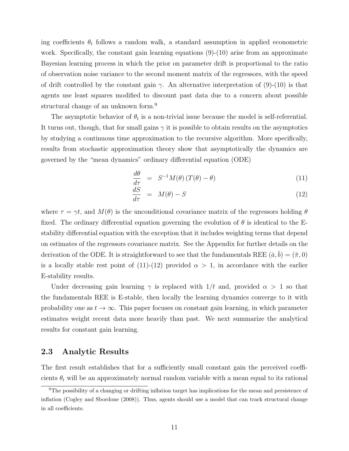ing coefficients  $\theta_t$  follows a random walk, a standard assumption in applied econometric work. Specifically, the constant gain learning equations  $(9)-(10)$  arise from an approximate Bayesian learning process in which the prior on parameter drift is proportional to the ratio of observation noise variance to the second moment matrix of the regressors, with the speed of drift controlled by the constant gain  $\gamma$ . An alternative interpretation of (9)-(10) is that agents use least squares modified to discount past data due to a concern about possible structural change of an unknown form.<sup>9</sup>

The asymptotic behavior of  $\theta_t$  is a non-trivial issue because the model is self-referential. It turns out, though, that for small gains  $\gamma$  it is possible to obtain results on the asymptotics by studying a continuous time approximation to the recursive algorithm. More specifically, results from stochastic approximation theory show that asymptotically the dynamics are governed by the "mean dynamics" ordinary differential equation (ODE)

$$
\frac{d\theta}{d\tau} = S^{-1}M(\theta)(T(\theta) - \theta) \tag{11}
$$

$$
\frac{dS}{d\tau} = M(\theta) - S \tag{12}
$$

where  $\tau = \gamma t$ , and  $M(\theta)$  is the unconditional covariance matrix of the regressors holding  $\theta$ fixed. The ordinary differential equation governing the evolution of  $\theta$  is identical to the Estability differential equation with the exception that it includes weighting terms that depend on estimates of the regressors covariance matrix. See the Appendix for further details on the derivation of the ODE. It is straightforward to see that the fundamentals REE  $(\bar{a}, \bar{b}) = (\bar{\pi}, 0)$ is a locally stable rest point of (11)-(12) provided  $\alpha > 1$ , in accordance with the earlier E-stability results.

Under decreasing gain learning  $\gamma$  is replaced with  $1/t$  and, provided  $\alpha > 1$  so that the fundamentals REE is E-stable, then locally the learning dynamics converge to it with probability one as  $t \to \infty$ . This paper focuses on constant gain learning, in which parameter estimates weight recent data more heavily than past. We next summarize the analytical results for constant gain learning.

### 2.3 Analytic Results

The first result establishes that for a sufficiently small constant gain the perceived coefficients  $\theta_t$  will be an approximately normal random variable with a mean equal to its rational

<sup>&</sup>lt;sup>9</sup>The possibility of a changing or drifting inflation target has implications for the mean and persistence of inflation (Cogley and Sbordone (2008)). Thus, agents should use a model that can track structural change in all coefficients.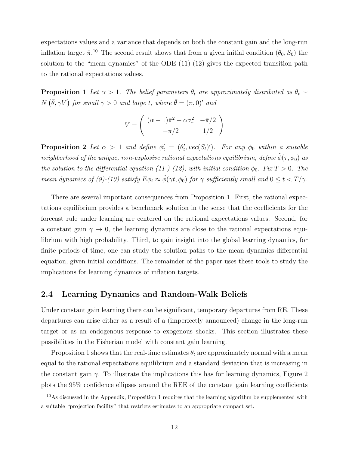expectations values and a variance that depends on both the constant gain and the long-run inflation target  $\bar{\pi}$ <sup>10</sup>. The second result shows that from a given initial condition  $(\theta_0, S_0)$  the solution to the "mean dynamics" of the ODE (11)-(12) gives the expected transition path to the rational expectations values.

**Proposition 1** Let  $\alpha > 1$ . The belief parameters  $\theta_t$  are approximately distributed as  $\theta_t \sim$  $N(\bar{\theta}, \gamma V)$  for small  $\gamma > 0$  and large t, where  $\bar{\theta} = (\bar{\pi}, 0)'$  and

$$
V = \begin{pmatrix} (\alpha - 1)\bar{\pi}^2 + \alpha \sigma_r^2 & -\bar{\pi}/2 \\ -\bar{\pi}/2 & 1/2 \end{pmatrix}
$$

**Proposition 2** Let  $\alpha > 1$  and define  $\phi'_t = (\theta'_t, vec(S_t)')$ . For any  $\phi_0$  within a suitable neighborhood of the unique, non-explosive rational expectations equilibrium, define  $\tilde{\phi}(\tau, \phi_0)$  as the solution to the differential equation (11 )-(12), with initial condition  $\phi_0$ . Fix  $T > 0$ . The mean dynamics of (9)-(10) satisfy  $E\phi_t \approx \tilde{\phi}(\gamma t, \phi_0)$  for  $\gamma$  sufficiently small and  $0 \le t < T/\gamma$ .

There are several important consequences from Proposition 1. First, the rational expectations equilibrium provides a benchmark solution in the sense that the coefficients for the forecast rule under learning are centered on the rational expectations values. Second, for a constant gain  $\gamma \to 0$ , the learning dynamics are close to the rational expectations equilibrium with high probability. Third, to gain insight into the global learning dynamics, for finite periods of time, one can study the solution paths to the mean dynamics differential equation, given initial conditions. The remainder of the paper uses these tools to study the implications for learning dynamics of inflation targets.

### 2.4 Learning Dynamics and Random-Walk Beliefs

Under constant gain learning there can be significant, temporary departures from RE. These departures can arise either as a result of a (imperfectly announced) change in the long-run target or as an endogenous response to exogenous shocks. This section illustrates these possibilities in the Fisherian model with constant gain learning.

Proposition 1 shows that the real-time estimates  $\theta_t$  are approximately normal with a mean equal to the rational expectations equilibrium and a standard deviation that is increasing in the constant gain  $\gamma$ . To illustrate the implications this has for learning dynamics, Figure 2 plots the 95% confidence ellipses around the REE of the constant gain learning coefficients

<sup>&</sup>lt;sup>10</sup>As discussed in the Appendix, Proposition 1 requires that the learning algorithm be supplemented with a suitable "projection facility" that restricts estimates to an appropriate compact set.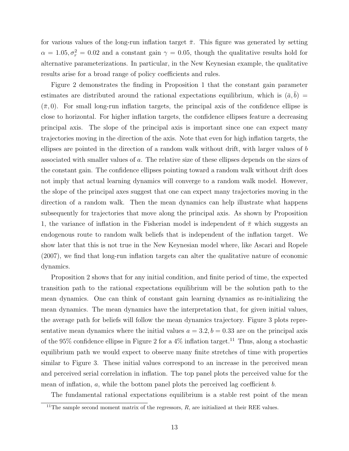for various values of the long-run inflation target  $\bar{\pi}$ . This figure was generated by setting  $\alpha = 1.05, \sigma_r^2 = 0.02$  and a constant gain  $\gamma = 0.05$ , though the qualitative results hold for alternative parameterizations. In particular, in the New Keynesian example, the qualitative results arise for a broad range of policy coefficients and rules.

Figure 2 demonstrates the finding in Proposition 1 that the constant gain parameter estimates are distributed around the rational expectations equilibrium, which is  $(\bar{a}, b)$  =  $(\bar{\pi}, 0)$ . For small long-run inflation targets, the principal axis of the confidence ellipse is close to horizontal. For higher inflation targets, the confidence ellipses feature a decreasing principal axis. The slope of the principal axis is important since one can expect many trajectories moving in the direction of the axis. Note that even for high inflation targets, the ellipses are pointed in the direction of a random walk without drift, with larger values of b associated with smaller values of a. The relative size of these ellipses depends on the sizes of the constant gain. The confidence ellipses pointing toward a random walk without drift does not imply that actual learning dynamics will converge to a random walk model. However, the slope of the principal axes suggest that one can expect many trajectories moving in the direction of a random walk. Then the mean dynamics can help illustrate what happens subsequently for trajectories that move along the principal axis. As shown by Proposition 1, the variance of inflation in the Fisherian model is independent of  $\bar{\pi}$  which suggests an endogenous route to random walk beliefs that is independent of the inflation target. We show later that this is not true in the New Keynesian model where, like Ascari and Ropele (2007), we find that long-run inflation targets can alter the qualitative nature of economic dynamics.

Proposition 2 shows that for any initial condition, and finite period of time, the expected transition path to the rational expectations equilibrium will be the solution path to the mean dynamics. One can think of constant gain learning dynamics as re-initializing the mean dynamics. The mean dynamics have the interpretation that, for given initial values, the average path for beliefs will follow the mean dynamics trajectory. Figure 3 plots representative mean dynamics where the initial values  $a = 3.2, b = 0.33$  are on the principal axis of the 95% confidence ellipse in Figure 2 for a  $4\%$  inflation target.<sup>11</sup> Thus, along a stochastic equilibrium path we would expect to observe many finite stretches of time with properties similar to Figure 3. These initial values correspond to an increase in the perceived mean and perceived serial correlation in inflation. The top panel plots the perceived value for the mean of inflation,  $a$ , while the bottom panel plots the perceived lag coefficient  $b$ .

The fundamental rational expectations equilibrium is a stable rest point of the mean

<sup>&</sup>lt;sup>11</sup>The sample second moment matrix of the regressors,  $R$ , are initialized at their REE values.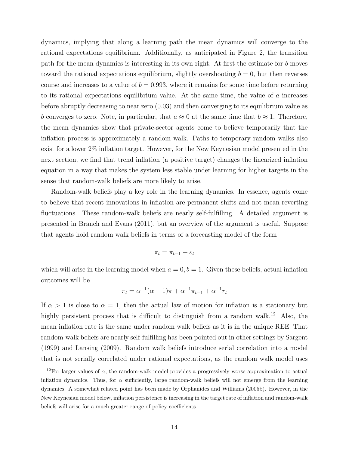dynamics, implying that along a learning path the mean dynamics will converge to the rational expectations equilibrium. Additionally, as anticipated in Figure 2, the transition path for the mean dynamics is interesting in its own right. At first the estimate for b moves toward the rational expectations equilibrium, slightly overshooting  $b = 0$ , but then reverses course and increases to a value of  $b = 0.993$ , where it remains for some time before returning to its rational expectations equilibrium value. At the same time, the value of  $\alpha$  increases before abruptly decreasing to near zero (0.03) and then converging to its equilibrium value as b converges to zero. Note, in particular, that  $a \approx 0$  at the same time that  $b \approx 1$ . Therefore, the mean dynamics show that private-sector agents come to believe temporarily that the inflation process is approximately a random walk. Paths to temporary random walks also exist for a lower 2% inflation target. However, for the New Keynesian model presented in the next section, we find that trend inflation (a positive target) changes the linearized inflation equation in a way that makes the system less stable under learning for higher targets in the sense that random-walk beliefs are more likely to arise.

Random-walk beliefs play a key role in the learning dynamics. In essence, agents come to believe that recent innovations in inflation are permanent shifts and not mean-reverting fluctuations. These random-walk beliefs are nearly self-fulfilling. A detailed argument is presented in Branch and Evans (2011), but an overview of the argument is useful. Suppose that agents hold random walk beliefs in terms of a forecasting model of the form

$$
\pi_t = \pi_{t-1} + \varepsilon_t
$$

which will arise in the learning model when  $a = 0, b = 1$ . Given these beliefs, actual inflation outcomes will be

$$
\pi_t = \alpha^{-1}(\alpha - 1)\bar{\pi} + \alpha^{-1}\pi_{t-1} + \alpha^{-1}r_t
$$

If  $\alpha > 1$  is close to  $\alpha = 1$ , then the actual law of motion for inflation is a stationary but highly persistent process that is difficult to distinguish from a random walk.<sup>12</sup> Also, the mean inflation rate is the same under random walk beliefs as it is in the unique REE. That random-walk beliefs are nearly self-fulfilling has been pointed out in other settings by Sargent (1999) and Lansing (2009). Random walk beliefs introduce serial correlation into a model that is not serially correlated under rational expectations, as the random walk model uses

<sup>&</sup>lt;sup>12</sup>For larger values of  $\alpha$ , the random-walk model provides a progressively worse approximation to actual inflation dynamics. Thus, for  $\alpha$  sufficiently, large random-walk beliefs will not emerge from the learning dynamics. A somewhat related point has been made by Orphanides and Williams (2005b). However, in the New Keynesian model below, inflation persistence is increasing in the target rate of inflation and random-walk beliefs will arise for a much greater range of policy coefficients.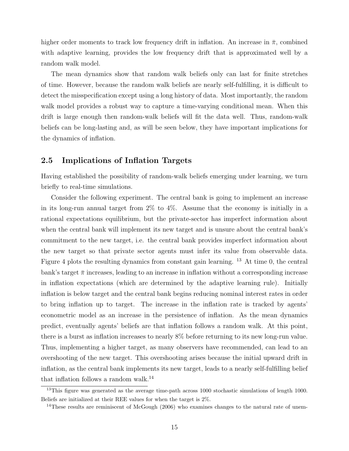higher order moments to track low frequency drift in inflation. An increase in  $\bar{\pi}$ , combined with adaptive learning, provides the low frequency drift that is approximated well by a random walk model.

The mean dynamics show that random walk beliefs only can last for finite stretches of time. However, because the random walk beliefs are nearly self-fulfilling, it is difficult to detect the misspecification except using a long history of data. Most importantly, the random walk model provides a robust way to capture a time-varying conditional mean. When this drift is large enough then random-walk beliefs will fit the data well. Thus, random-walk beliefs can be long-lasting and, as will be seen below, they have important implications for the dynamics of inflation.

### 2.5 Implications of Inflation Targets

Having established the possibility of random-walk beliefs emerging under learning, we turn briefly to real-time simulations.

Consider the following experiment. The central bank is going to implement an increase in its long-run annual target from 2% to 4%. Assume that the economy is initially in a rational expectations equilibrium, but the private-sector has imperfect information about when the central bank will implement its new target and is unsure about the central bank's commitment to the new target, i.e. the central bank provides imperfect information about the new target so that private sector agents must infer its value from observable data. Figure 4 plots the resulting dynamics from constant gain learning. <sup>13</sup> At time 0, the central bank's target  $\bar{\pi}$  increases, leading to an increase in inflation without a corresponding increase in inflation expectations (which are determined by the adaptive learning rule). Initially inflation is below target and the central bank begins reducing nominal interest rates in order to bring inflation up to target. The increase in the inflation rate is tracked by agents' econometric model as an increase in the persistence of inflation. As the mean dynamics predict, eventually agents' beliefs are that inflation follows a random walk. At this point, there is a burst as inflation increases to nearly 8% before returning to its new long-run value. Thus, implementing a higher target, as many observers have recommended, can lead to an overshooting of the new target. This overshooting arises because the initial upward drift in inflation, as the central bank implements its new target, leads to a nearly self-fulfilling belief that inflation follows a random walk.<sup>14</sup>

<sup>&</sup>lt;sup>13</sup>This figure was generated as the average time-path across 1000 stochastic simulations of length 1000. Beliefs are initialized at their REE values for when the target is 2%.

<sup>&</sup>lt;sup>14</sup>These results are reminiscent of McGough  $(2006)$  who examines changes to the natural rate of unem-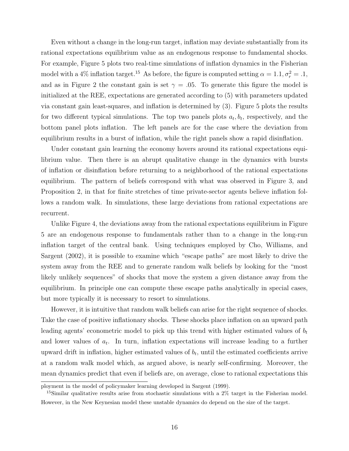Even without a change in the long-run target, inflation may deviate substantially from its rational expectations equilibrium value as an endogenous response to fundamental shocks. For example, Figure 5 plots two real-time simulations of inflation dynamics in the Fisherian model with a 4% inflation target.<sup>15</sup> As before, the figure is computed setting  $\alpha = 1.1, \sigma_r^2 = .1$ , and as in Figure 2 the constant gain is set  $\gamma = .05$ . To generate this figure the model is initialized at the REE, expectations are generated according to (5) with parameters updated via constant gain least-squares, and inflation is determined by (3). Figure 5 plots the results for two different typical simulations. The top two panels plots  $a_t, b_t$ , respectively, and the bottom panel plots inflation. The left panels are for the case where the deviation from equilibrium results in a burst of inflation, while the right panels show a rapid disinflation.

Under constant gain learning the economy hovers around its rational expectations equilibrium value. Then there is an abrupt qualitative change in the dynamics with bursts of inflation or disinflation before returning to a neighborhood of the rational expectations equilibrium. The pattern of beliefs correspond with what was observed in Figure 3, and Proposition 2, in that for finite stretches of time private-sector agents believe inflation follows a random walk. In simulations, these large deviations from rational expectations are recurrent.

Unlike Figure 4, the deviations away from the rational expectations equilibrium in Figure 5 are an endogenous response to fundamentals rather than to a change in the long-run inflation target of the central bank. Using techniques employed by Cho, Williams, and Sargent (2002), it is possible to examine which "escape paths" are most likely to drive the system away from the REE and to generate random walk beliefs by looking for the "most likely unlikely sequences" of shocks that move the system a given distance away from the equilibrium. In principle one can compute these escape paths analytically in special cases, but more typically it is necessary to resort to simulations.

However, it is intuitive that random walk beliefs can arise for the right sequence of shocks. Take the case of positive inflationary shocks. These shocks place inflation on an upward path leading agents' econometric model to pick up this trend with higher estimated values of  $b_t$ and lower values of  $a_t$ . In turn, inflation expectations will increase leading to a further upward drift in inflation, higher estimated values of  $b_t$ , until the estimated coefficients arrive at a random walk model which, as argued above, is nearly self-confirming. Moreover, the mean dynamics predict that even if beliefs are, on average, close to rational expectations this

ployment in the model of policymaker learning developed in Sargent (1999).

<sup>15</sup>Similar qualitative results arise from stochastic simulations with a 2% target in the Fisherian model. However, in the New Keynesian model these unstable dynamics do depend on the size of the target.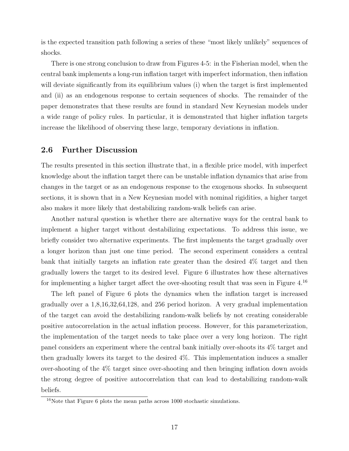is the expected transition path following a series of these "most likely unlikely" sequences of shocks.

There is one strong conclusion to draw from Figures 4-5: in the Fisherian model, when the central bank implements a long-run inflation target with imperfect information, then inflation will deviate significantly from its equilibrium values (i) when the target is first implemented and (ii) as an endogenous response to certain sequences of shocks. The remainder of the paper demonstrates that these results are found in standard New Keynesian models under a wide range of policy rules. In particular, it is demonstrated that higher inflation targets increase the likelihood of observing these large, temporary deviations in inflation.

### 2.6 Further Discussion

The results presented in this section illustrate that, in a flexible price model, with imperfect knowledge about the inflation target there can be unstable inflation dynamics that arise from changes in the target or as an endogenous response to the exogenous shocks. In subsequent sections, it is shown that in a New Keynesian model with nominal rigidities, a higher target also makes it more likely that destabilizing random-walk beliefs can arise.

Another natural question is whether there are alternative ways for the central bank to implement a higher target without destabilizing expectations. To address this issue, we briefly consider two alternative experiments. The first implements the target gradually over a longer horizon than just one time period. The second experiment considers a central bank that initially targets an inflation rate greater than the desired 4% target and then gradually lowers the target to its desired level. Figure 6 illustrates how these alternatives for implementing a higher target affect the over-shooting result that was seen in Figure 4.<sup>16</sup>

The left panel of Figure 6 plots the dynamics when the inflation target is increased gradually over a 1,8,16,32,64,128, and 256 period horizon. A very gradual implementation of the target can avoid the destabilizing random-walk beliefs by not creating considerable positive autocorrelation in the actual inflation process. However, for this parameterization, the implementation of the target needs to take place over a very long horizon. The right panel considers an experiment where the central bank initially over-shoots its 4% target and then gradually lowers its target to the desired 4%. This implementation induces a smaller over-shooting of the 4% target since over-shooting and then bringing inflation down avoids the strong degree of positive autocorrelation that can lead to destabilizing random-walk beliefs.

<sup>16</sup>Note that Figure 6 plots the mean paths across 1000 stochastic simulations.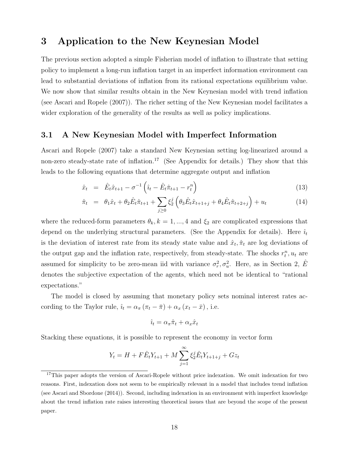## 3 Application to the New Keynesian Model

The previous section adopted a simple Fisherian model of inflation to illustrate that setting policy to implement a long-run inflation target in an imperfect information environment can lead to substantial deviations of inflation from its rational expectations equilibrium value. We now show that similar results obtain in the New Keynesian model with trend inflation (see Ascari and Ropele (2007)). The richer setting of the New Keynesian model facilitates a wider exploration of the generality of the results as well as policy implications.

### 3.1 A New Keynesian Model with Imperfect Information

Ascari and Ropele (2007) take a standard New Keynesian setting log-linearized around a non-zero steady-state rate of inflation.<sup>17</sup> (See Appendix for details.) They show that this leads to the following equations that determine aggregate output and inflation

$$
\hat{x}_t = \hat{E}_t \hat{x}_{t+1} - \sigma^{-1} \left( \hat{i}_t - \hat{E}_t \hat{\pi}_{t+1} - r_t^n \right) \tag{13}
$$

$$
\hat{\pi}_t = \theta_1 \hat{x}_t + \theta_2 \hat{E}_t \hat{\pi}_{t+1} + \sum_{j \ge 0} \xi_2^j \left( \theta_3 \hat{E}_t \hat{x}_{t+1+j} + \theta_4 \hat{E}_t \hat{\pi}_{t+2+j} \right) + u_t \tag{14}
$$

where the reduced-form parameters  $\theta_k$ ,  $k = 1, ..., 4$  and  $\xi_2$  are complicated expressions that depend on the underlying structural parameters. (See the Appendix for details). Here  $\hat{i}_t$ is the deviation of interest rate from its steady state value and  $\hat{x}_t, \hat{\pi}_t$  are log deviations of the output gap and the inflation rate, respectively, from steady-state. The shocks  $r_t^n, u_t$  are assumed for simplicity to be zero-mean iid with variance  $\sigma_r^2, \sigma_u^2$ . Here, as in Section 2,  $\hat{E}$ denotes the subjective expectation of the agents, which need not be identical to "rational expectations."

The model is closed by assuming that monetary policy sets nominal interest rates according to the Taylor rule,  $\hat{i}_t = \alpha_\pi (\pi_t - \bar{\pi}) + \alpha_x (x_t - \bar{x})$ , i.e.

$$
\hat{i}_t = \alpha_\pi \hat{\pi}_t + \alpha_x \hat{x}_t
$$

Stacking these equations, it is possible to represent the economy in vector form

$$
Y_t = H + F\hat{E}_t Y_{t+1} + M \sum_{j=1}^{\infty} \xi_2^j \hat{E}_t Y_{t+1+j} + Gz_t
$$

<sup>&</sup>lt;sup>17</sup>This paper adopts the version of Ascari-Ropele without price indexation. We omit indexation for two reasons. First, indexation does not seem to be empirically relevant in a model that includes trend inflation (see Ascari and Sbordone (2014)). Second, including indexation in an environment with imperfect knowledge about the trend inflation rate raises interesting theoretical issues that are beyond the scope of the present paper.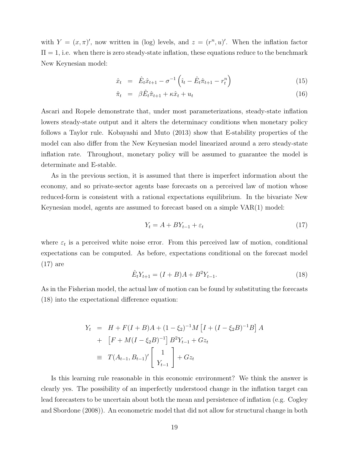with  $Y = (x, \pi)'$ , now written in (log) levels, and  $z = (r^n, u)'$ . When the inflation factor  $\Pi = 1$ , i.e. when there is zero steady-state inflation, these equations reduce to the benchmark New Keynesian model:

$$
\hat{x}_t = \hat{E}_t \hat{x}_{t+1} - \sigma^{-1} \left( \hat{i}_t - \hat{E}_t \hat{\pi}_{t+1} - r_t^n \right) \tag{15}
$$

$$
\hat{\pi}_t = \beta \hat{E}_t \hat{\pi}_{t+1} + \kappa \hat{x}_t + u_t \tag{16}
$$

Ascari and Ropele demonstrate that, under most parameterizations, steady-state inflation lowers steady-state output and it alters the determinacy conditions when monetary policy follows a Taylor rule. Kobayashi and Muto (2013) show that E-stability properties of the model can also differ from the New Keynesian model linearized around a zero steady-state inflation rate. Throughout, monetary policy will be assumed to guarantee the model is determinate and E-stable.

As in the previous section, it is assumed that there is imperfect information about the economy, and so private-sector agents base forecasts on a perceived law of motion whose reduced-form is consistent with a rational expectations equilibrium. In the bivariate New Keynesian model, agents are assumed to forecast based on a simple VAR(1) model:

$$
Y_t = A + BY_{t-1} + \varepsilon_t \tag{17}
$$

where  $\varepsilon_t$  is a perceived white noise error. From this perceived law of motion, conditional expectations can be computed. As before, expectations conditional on the forecast model (17) are

$$
\hat{E}_t Y_{t+1} = (I + B)A + B^2 Y_{t-1}.
$$
\n(18)

As in the Fisherian model, the actual law of motion can be found by substituting the forecasts (18) into the expectational difference equation:

$$
Y_t = H + F(I + B)A + (1 - \xi_2)^{-1}M[I + (I - \xi_2 B)^{-1}B]A
$$
  
+ 
$$
[F + M(I - \xi_2 B)^{-1}]B^2Y_{t-1} + Gz_t
$$
  

$$
\equiv T(A_{t-1}, B_{t-1})' \begin{bmatrix} 1 \\ Y_{t-1} \end{bmatrix} + Gz_t
$$

Is this learning rule reasonable in this economic environment? We think the answer is clearly yes. The possibility of an imperfectly understood change in the inflation target can lead forecasters to be uncertain about both the mean and persistence of inflation (e.g. Cogley and Sbordone (2008)). An econometric model that did not allow for structural change in both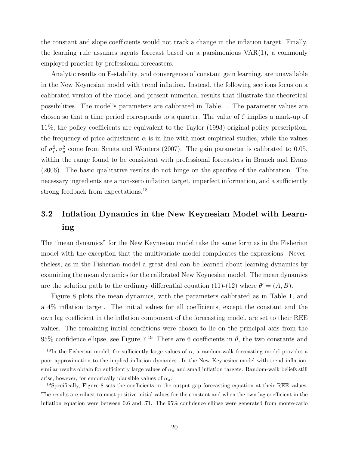the constant and slope coefficients would not track a change in the inflation target. Finally, the learning rule assumes agents forecast based on a parsimonious VAR(1), a commonly employed practice by professional forecasters.

Analytic results on E-stability, and convergence of constant gain learning, are unavailable in the New Keynesian model with trend inflation. Instead, the following sections focus on a calibrated version of the model and present numerical results that illustrate the theoretical possibilities. The model's parameters are calibrated in Table 1. The parameter values are chosen so that a time period corresponds to a quarter. The value of  $\zeta$  implies a mark-up of 11%, the policy coefficients are equivalent to the Taylor (1993) original policy prescription, the frequency of price adjustment  $\alpha$  is in line with most empirical studies, while the values of  $\sigma_r^2$ ,  $\sigma_u^2$  come from Smets and Wouters (2007). The gain parameter is calibrated to 0.05, within the range found to be consistent with professional forecasters in Branch and Evans (2006). The basic qualitative results do not hinge on the specifics of the calibration. The necessary ingredients are a non-zero inflation target, imperfect information, and a sufficiently strong feedback from expectations.<sup>18</sup>

## 3.2 Inflation Dynamics in the New Keynesian Model with Learning

The "mean dynamics" for the New Keynesian model take the same form as in the Fisherian model with the exception that the multivariate model complicates the expressions. Nevertheless, as in the Fisherian model a great deal can be learned about learning dynamics by examining the mean dynamics for the calibrated New Keynesian model. The mean dynamics are the solution path to the ordinary differential equation (11)-(12) where  $\theta' = (A, B)$ .

Figure 8 plots the mean dynamics, with the parameters calibrated as in Table 1, and a 4% inflation target. The initial values for all coefficients, except the constant and the own lag coefficient in the inflation component of the forecasting model, are set to their REE values. The remaining initial conditions were chosen to lie on the principal axis from the 95% confidence ellipse, see Figure 7.<sup>19</sup> There are 6 coefficients in  $\theta$ , the two constants and

<sup>&</sup>lt;sup>18</sup>In the Fisherian model, for sufficiently large values of  $\alpha$ , a random-walk forecasting model provides a poor approximation to the implied inflation dynamics. In the New Keynesian model with trend inflation, similar results obtain for sufficiently large values of  $\alpha_{\pi}$  and small inflation targets. Random-walk beliefs still arise, however, for empirically plausible values of  $\alpha_{\pi}$ .

<sup>&</sup>lt;sup>19</sup>Specifically, Figure 8 sets the coefficients in the output gap forecasting equation at their REE values. The results are robust to most positive initial values for the constant and when the own lag coefficient in the inflation equation were between 0.6 and .71. The 95% confidence ellipse were generated from monte-carlo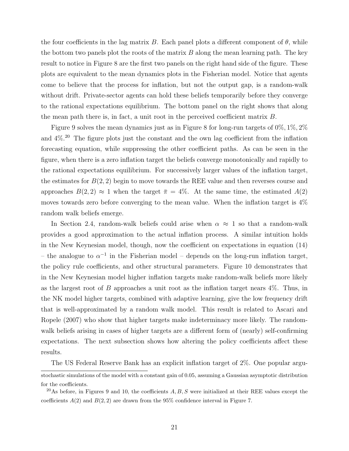the four coefficients in the lag matrix B. Each panel plots a different component of  $\theta$ , while the bottom two panels plot the roots of the matrix  $B$  along the mean learning path. The key result to notice in Figure 8 are the first two panels on the right hand side of the figure. These plots are equivalent to the mean dynamics plots in the Fisherian model. Notice that agents come to believe that the process for inflation, but not the output gap, is a random-walk without drift. Private-sector agents can hold these beliefs temporarily before they converge to the rational expectations equilibrium. The bottom panel on the right shows that along the mean path there is, in fact, a unit root in the perceived coefficient matrix B.

Figure 9 solves the mean dynamics just as in Figure 8 for long-run targets of 0%, 1%, 2% and 4%.<sup>20</sup> The figure plots just the constant and the own lag coefficient from the inflation forecasting equation, while suppressing the other coefficient paths. As can be seen in the figure, when there is a zero inflation target the beliefs converge monotonically and rapidly to the rational expectations equilibrium. For successively larger values of the inflation target, the estimates for  $B(2, 2)$  begin to move towards the REE value and then reverses course and approaches  $B(2, 2) \approx 1$  when the target  $\bar{\pi} = 4\%$ . At the same time, the estimated  $A(2)$ moves towards zero before converging to the mean value. When the inflation target is 4% random walk beliefs emerge.

In Section 2.4, random-walk beliefs could arise when  $\alpha \approx 1$  so that a random-walk provides a good approximation to the actual inflation process. A similar intuition holds in the New Keynesian model, though, now the coefficient on expectations in equation (14) – the analogue to  $\alpha^{-1}$  in the Fisherian model – depends on the long-run inflation target, the policy rule coefficients, and other structural parameters. Figure 10 demonstrates that in the New Keynesian model higher inflation targets make random-walk beliefs more likely as the largest root of  $B$  approaches a unit root as the inflation target nears  $4\%$ . Thus, in the NK model higher targets, combined with adaptive learning, give the low frequency drift that is well-approximated by a random walk model. This result is related to Ascari and Ropele (2007) who show that higher targets make indeterminacy more likely. The randomwalk beliefs arising in cases of higher targets are a different form of (nearly) self-confirming expectations. The next subsection shows how altering the policy coefficients affect these results.

The US Federal Reserve Bank has an explicit inflation target of 2%. One popular argustochastic simulations of the model with a constant gain of 0.05, assuming a Gaussian asymptotic distribution for the coefficients.

<sup>&</sup>lt;sup>20</sup>As before, in Figures 9 and 10, the coefficients  $A, B, S$  were initialized at their REE values except the coefficients  $A(2)$  and  $B(2, 2)$  are drawn from the 95% confidence interval in Figure 7.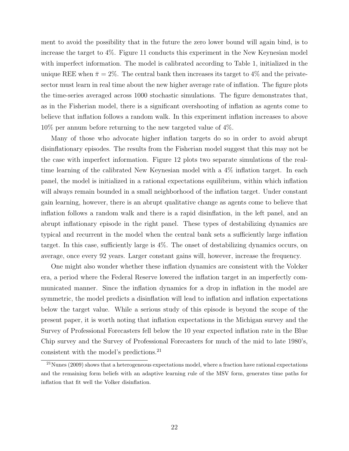ment to avoid the possibility that in the future the zero lower bound will again bind, is to increase the target to 4%. Figure 11 conducts this experiment in the New Keynesian model with imperfect information. The model is calibrated according to Table 1, initialized in the unique REE when  $\bar{\pi} = 2\%$ . The central bank then increases its target to 4\% and the privatesector must learn in real time about the new higher average rate of inflation. The figure plots the time-series averaged across 1000 stochastic simulations. The figure demonstrates that, as in the Fisherian model, there is a significant overshooting of inflation as agents come to believe that inflation follows a random walk. In this experiment inflation increases to above 10% per annum before returning to the new targeted value of 4%.

Many of those who advocate higher inflation targets do so in order to avoid abrupt disinflationary episodes. The results from the Fisherian model suggest that this may not be the case with imperfect information. Figure 12 plots two separate simulations of the realtime learning of the calibrated New Keynesian model with a 4% inflation target. In each panel, the model is initialized in a rational expectations equilibrium, within which inflation will always remain bounded in a small neighborhood of the inflation target. Under constant gain learning, however, there is an abrupt qualitative change as agents come to believe that inflation follows a random walk and there is a rapid disinflation, in the left panel, and an abrupt inflationary episode in the right panel. These types of destabilizing dynamics are typical and recurrent in the model when the central bank sets a sufficiently large inflation target. In this case, sufficiently large is 4%. The onset of destabilizing dynamics occurs, on average, once every 92 years. Larger constant gains will, however, increase the frequency.

One might also wonder whether these inflation dynamics are consistent with the Volcker era, a period where the Federal Reserve lowered the inflation target in an imperfectly communicated manner. Since the inflation dynamics for a drop in inflation in the model are symmetric, the model predicts a disinflation will lead to inflation and inflation expectations below the target value. While a serious study of this episode is beyond the scope of the present paper, it is worth noting that inflation expectations in the Michigan survey and the Survey of Professional Forecasters fell below the 10 year expected inflation rate in the Blue Chip survey and the Survey of Professional Forecasters for much of the mid to late 1980's, consistent with the model's predictions.<sup>21</sup>

 $^{21}$ Nunes (2009) shows that a heterogeneous expectations model, where a fraction have rational expectations and the remaining form beliefs with an adaptive learning rule of the MSV form, generates time paths for inflation that fit well the Volker disinflation.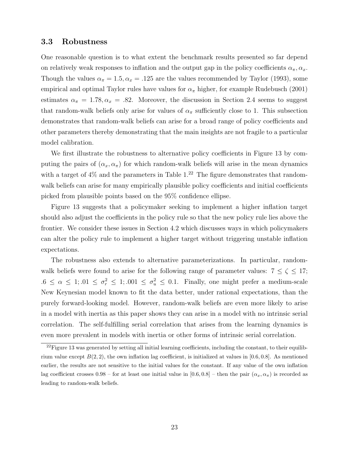### 3.3 Robustness

One reasonable question is to what extent the benchmark results presented so far depend on relatively weak responses to inflation and the output gap in the policy coefficients  $\alpha_{\pi}, \alpha_{x}$ . Though the values  $\alpha_{\pi} = 1.5, \alpha_x = .125$  are the values recommended by Taylor (1993), some empirical and optimal Taylor rules have values for  $\alpha_{\pi}$  higher, for example Rudebusch (2001) estimates  $\alpha_{\pi} = 1.78, \alpha_{x} = .82$ . Moreover, the discussion in Section 2.4 seems to suggest that random-walk beliefs only arise for values of  $\alpha_{\pi}$  sufficiently close to 1. This subsection demonstrates that random-walk beliefs can arise for a broad range of policy coefficients and other parameters thereby demonstrating that the main insights are not fragile to a particular model calibration.

We first illustrate the robustness to alternative policy coefficients in Figure 13 by computing the pairs of  $(\alpha_x, \alpha_{\pi})$  for which random-walk beliefs will arise in the mean dynamics with a target of  $4\%$  and the parameters in Table 1.<sup>22</sup> The figure demonstrates that randomwalk beliefs can arise for many empirically plausible policy coefficients and initial coefficients picked from plausible points based on the 95% confidence ellipse.

Figure 13 suggests that a policymaker seeking to implement a higher inflation target should also adjust the coefficients in the policy rule so that the new policy rule lies above the frontier. We consider these issues in Section 4.2 which discusses ways in which policymakers can alter the policy rule to implement a higher target without triggering unstable inflation expectations.

The robustness also extends to alternative parameterizations. In particular, randomwalk beliefs were found to arise for the following range of parameter values:  $7 \leq \zeta \leq 17$ ;  $.6 \leq \alpha \leq 1$ ;  $.01 \leq \sigma_r^2 \leq 1$ ;  $.001 \leq \sigma_u^2 \leq 0.1$ . Finally, one might prefer a medium-scale New Keynesian model known to fit the data better, under rational expectations, than the purely forward-looking model. However, random-walk beliefs are even more likely to arise in a model with inertia as this paper shows they can arise in a model with no intrinsic serial correlation. The self-fulfilling serial correlation that arises from the learning dynamics is even more prevalent in models with inertia or other forms of intrinsic serial correlation.

 $^{22}$ Figure 13 was generated by setting all initial learning coefficients, including the constant, to their equilibrium value except  $B(2, 2)$ , the own inflation lag coefficient, is initialized at values in [0.6, 0.8]. As mentioned earlier, the results are not sensitive to the initial values for the constant. If any value of the own inflation lag coefficient crosses  $0.98$  – for at least one initial value in  $[0.6, 0.8]$  – then the pair  $(\alpha_x, \alpha_{\pi})$  is recorded as leading to random-walk beliefs.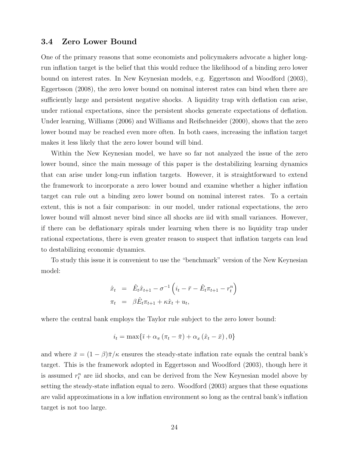### 3.4 Zero Lower Bound

One of the primary reasons that some economists and policymakers advocate a higher longrun inflation target is the belief that this would reduce the likelihood of a binding zero lower bound on interest rates. In New Keynesian models, e.g. Eggertsson and Woodford (2003), Eggertsson (2008), the zero lower bound on nominal interest rates can bind when there are sufficiently large and persistent negative shocks. A liquidity trap with deflation can arise, under rational expectations, since the persistent shocks generate expectations of deflation. Under learning, Williams (2006) and Williams and Reifschneider (2000), shows that the zero lower bound may be reached even more often. In both cases, increasing the inflation target makes it less likely that the zero lower bound will bind.

Within the New Keynesian model, we have so far not analyzed the issue of the zero lower bound, since the main message of this paper is the destabilizing learning dynamics that can arise under long-run inflation targets. However, it is straightforward to extend the framework to incorporate a zero lower bound and examine whether a higher inflation target can rule out a binding zero lower bound on nominal interest rates. To a certain extent, this is not a fair comparison: in our model, under rational expectations, the zero lower bound will almost never bind since all shocks are iid with small variances. However, if there can be deflationary spirals under learning when there is no liquidity trap under rational expectations, there is even greater reason to suspect that inflation targets can lead to destabilizing economic dynamics.

To study this issue it is convenient to use the "benchmark" version of the New Keynesian model:

$$
\begin{aligned}\n\hat{x}_t &= \hat{E}_t \hat{x}_{t+1} - \sigma^{-1} \left( i_t - \bar{r} - \hat{E}_t \pi_{t+1} - r_t^n \right) \\
\pi_t &= \beta \hat{E}_t \pi_{t+1} + \kappa \hat{x}_t + u_t,\n\end{aligned}
$$

where the central bank employs the Taylor rule subject to the zero lower bound:

$$
i_t = \max\{\bar{\imath} + \alpha_\pi (\pi_t - \bar{\pi}) + \alpha_x (\hat{x}_t - \bar{x}), 0\}
$$

and where  $\bar{x} = (1 - \beta)\bar{\pi}/\kappa$  ensures the steady-state inflation rate equals the central bank's target. This is the framework adopted in Eggertsson and Woodford (2003), though here it is assumed  $r_t^n$  are iid shocks, and can be derived from the New Keynesian model above by setting the steady-state inflation equal to zero. Woodford (2003) argues that these equations are valid approximations in a low inflation environment so long as the central bank's inflation target is not too large.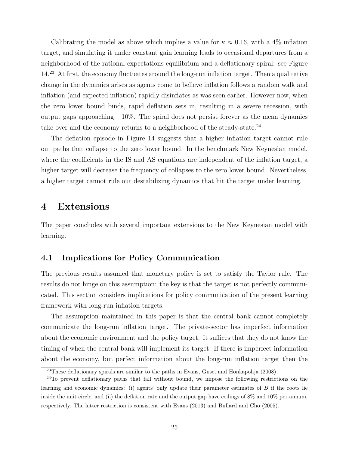Calibrating the model as above which implies a value for  $\kappa \approx 0.16$ , with a 4\% inflation target, and simulating it under constant gain learning leads to occasional departures from a neighborhood of the rational expectations equilibrium and a deflationary spiral: see Figure 14.<sup>23</sup> At first, the economy fluctuates around the long-run inflation target. Then a qualitative change in the dynamics arises as agents come to believe inflation follows a random walk and inflation (and expected inflation) rapidly disinflates as was seen earlier. However now, when the zero lower bound binds, rapid deflation sets in, resulting in a severe recession, with output gaps approaching  $-10\%$ . The spiral does not persist forever as the mean dynamics take over and the economy returns to a neighborhood of the steady-state.<sup>24</sup>

The deflation episode in Figure 14 suggests that a higher inflation target cannot rule out paths that collapse to the zero lower bound. In the benchmark New Keynesian model, where the coefficients in the IS and AS equations are independent of the inflation target, a higher target will decrease the frequency of collapses to the zero lower bound. Nevertheless, a higher target cannot rule out destabilizing dynamics that hit the target under learning.

### 4 Extensions

The paper concludes with several important extensions to the New Keynesian model with learning.

### 4.1 Implications for Policy Communication

The previous results assumed that monetary policy is set to satisfy the Taylor rule. The results do not hinge on this assumption: the key is that the target is not perfectly communicated. This section considers implications for policy communication of the present learning framework with long-run inflation targets.

The assumption maintained in this paper is that the central bank cannot completely communicate the long-run inflation target. The private-sector has imperfect information about the economic environment and the policy target. It suffices that they do not know the timing of when the central bank will implement its target. If there is imperfect information about the economy, but perfect information about the long-run inflation target then the

<sup>&</sup>lt;sup>23</sup>These deflationary spirals are similar to the paths in Evans, Guse, and Honkapohja (2008).

<sup>&</sup>lt;sup>24</sup>To prevent deflationary paths that fall without bound, we impose the following restrictions on the learning and economic dynamics: (i) agents' only update their parameter estimates of B if the roots lie inside the unit circle, and (ii) the deflation rate and the output gap have ceilings of 8% and 10% per annum, respectively. The latter restriction is consistent with Evans (2013) and Bullard and Cho (2005).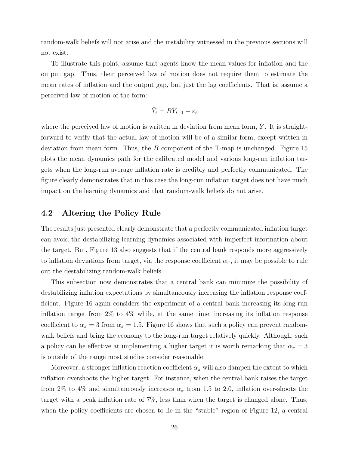random-walk beliefs will not arise and the instability witnessed in the previous sections will not exist.

To illustrate this point, assume that agents know the mean values for inflation and the output gap. Thus, their perceived law of motion does not require them to estimate the mean rates of inflation and the output gap, but just the lag coefficients. That is, assume a perceived law of motion of the form:

$$
\hat{Y}_t = B\hat{Y}_{t-1} + \varepsilon_t
$$

where the perceived law of motion is written in deviation from mean form,  $\hat{Y}$ . It is straightforward to verify that the actual law of motion will be of a similar form, except written in deviation from mean form. Thus, the  $B$  component of the T-map is unchanged. Figure 15 plots the mean dynamics path for the calibrated model and various long-run inflation targets when the long-run average inflation rate is credibly and perfectly communicated. The figure clearly demonstrates that in this case the long-run inflation target does not have much impact on the learning dynamics and that random-walk beliefs do not arise.

### 4.2 Altering the Policy Rule

The results just presented clearly demonstrate that a perfectly communicated inflation target can avoid the destabilizing learning dynamics associated with imperfect information about the target. But, Figure 13 also suggests that if the central bank responds more aggressively to inflation deviations from target, via the response coefficient  $\alpha_{\pi}$ , it may be possible to rule out the destabilizing random-walk beliefs.

This subsection now demonstrates that a central bank can minimize the possibility of destabilizing inflation expectations by simultaneously increasing the inflation response coefficient. Figure 16 again considers the experiment of a central bank increasing its long-run inflation target from 2% to 4% while, at the same time, increasing its inflation response coefficient to  $\alpha_{\pi} = 3$  from  $\alpha_{\pi} = 1.5$ . Figure 16 shows that such a policy can prevent randomwalk beliefs and bring the economy to the long-run target relatively quickly. Although, such a policy can be effective at implementing a higher target it is worth remarking that  $\alpha_{\pi} = 3$ is outside of the range most studies consider reasonable.

Moreover, a stronger inflation reaction coefficient  $\alpha_{\pi}$  will also dampen the extent to which inflation overshoots the higher target. For instance, when the central bank raises the target from 2% to 4% and simultaneously increases  $\alpha_{\pi}$  from 1.5 to 2.0, inflation over-shoots the target with a peak inflation rate of 7%, less than when the target is changed alone. Thus, when the policy coefficients are chosen to lie in the "stable" region of Figure 12, a central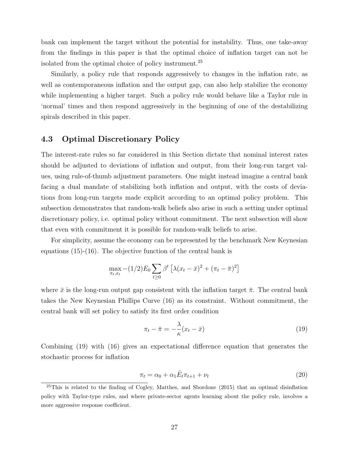bank can implement the target without the potential for instability. Thus, one take-away from the findings in this paper is that the optimal choice of inflation target can not be isolated from the optimal choice of policy instrument.<sup>25</sup>

Similarly, a policy rule that responds aggressively to changes in the inflation rate, as well as contemporaneous inflation and the output gap, can also help stabilize the economy while implementing a higher target. Such a policy rule would behave like a Taylor rule in 'normal' times and then respond aggressively in the beginning of one of the destabilizing spirals described in this paper.

### 4.3 Optimal Discretionary Policy

The interest-rate rules so far considered in this Section dictate that nominal interest rates should be adjusted to deviations of inflation and output, from their long-run target values, using rule-of-thumb adjustment parameters. One might instead imagine a central bank facing a dual mandate of stabilizing both inflation and output, with the costs of deviations from long-run targets made explicit according to an optimal policy problem. This subsection demonstrates that random-walk beliefs also arise in such a setting under optimal discretionary policy, i.e. optimal policy without commitment. The next subsection will show that even with commitment it is possible for random-walk beliefs to arise.

For simplicity, assume the economy can be represented by the benchmark New Keynesian equations (15)-(16). The objective function of the central bank is

$$
\max_{\pi_t, x_t} -(1/2) E_0 \sum_{t \ge 0} \beta^t \left[ \lambda (x_t - \bar{x})^2 + (\pi_t - \bar{\pi})^2 \right]
$$

where  $\bar{x}$  is the long-run output gap consistent with the inflation target  $\bar{\pi}$ . The central bank takes the New Keynesian Phillips Curve (16) as its constraint. Without commitment, the central bank will set policy to satisfy its first order condition

$$
\pi_t - \bar{\pi} = -\frac{\lambda}{\kappa} (x_t - \bar{x}) \tag{19}
$$

Combining (19) with (16) gives an expectational difference equation that generates the stochastic process for inflation

$$
\pi_t = \alpha_0 + \alpha_1 \hat{E}_t \pi_{t+1} + \nu_t \tag{20}
$$

<sup>25</sup>This is related to the finding of Cogley, Matthes, and Sbordone (2015) that an optimal disinflation policy with Taylor-type rules, and where private-sector agents learning about the policy rule, involves a more aggressive response coefficient.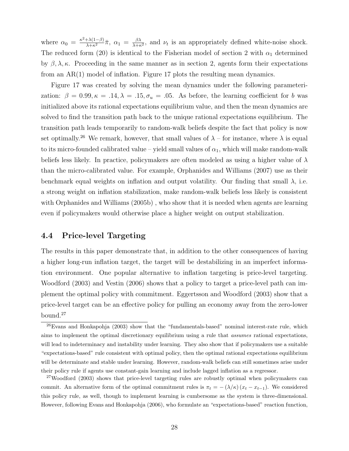where  $\alpha_0 = \frac{\kappa^2 + \lambda(1-\beta)}{\lambda+\kappa^2} \bar{\pi}, \ \alpha_1 = \frac{\beta \lambda}{\lambda+\kappa}$  $\frac{\beta \lambda}{\lambda + \kappa^2}$ , and  $\nu_t$  is an appropriately defined white-noise shock. The reduced form (20) is identical to the Fisherian model of section 2 with  $\alpha_1$  determined by  $\beta, \lambda, \kappa$ . Proceeding in the same manner as in section 2, agents form their expectations from an AR(1) model of inflation. Figure 17 plots the resulting mean dynamics.

Figure 17 was created by solving the mean dynamics under the following parameterization:  $\beta = 0.99, \kappa = .14, \lambda = .15, \sigma_u = .05$ . As before, the learning coefficient for b was initialized above its rational expectations equilibrium value, and then the mean dynamics are solved to find the transition path back to the unique rational expectations equilibrium. The transition path leads temporarily to random-walk beliefs despite the fact that policy is now set optimally.<sup>26</sup> We remark, however, that small values of  $\lambda$  – for instance, where  $\lambda$  is equal to its micro-founded calibrated value – yield small values of  $\alpha_1$ , which will make random-walk beliefs less likely. In practice, policymakers are often modeled as using a higher value of  $\lambda$ than the micro-calibrated value. For example, Orphanides and Williams (2007) use as their benchmark equal weights on inflation and output volatility. Our finding that small  $\lambda$ , i.e. a strong weight on inflation stabilization, make random-walk beliefs less likely is consistent with Orphanides and Williams (2005b), who show that it is needed when agents are learning even if policymakers would otherwise place a higher weight on output stabilization.

### 4.4 Price-level Targeting

The results in this paper demonstrate that, in addition to the other consequences of having a higher long-run inflation target, the target will be destabilizing in an imperfect information environment. One popular alternative to inflation targeting is price-level targeting. Woodford (2003) and Vestin (2006) shows that a policy to target a price-level path can implement the optimal policy with commitment. Eggertsson and Woodford (2003) show that a price-level target can be an effective policy for pulling an economy away from the zero-lower bound.<sup>27</sup>

<sup>27</sup>Woodford (2003) shows that price-level targeting rules are robustly optimal when policymakers can commit. An alternative form of the optimal commitment rules is  $\pi_t = -(\lambda/\kappa)(x_t - x_{t-1})$ . We considered this policy rule, as well, though to implement learning is cumbersome as the system is three-dimensional. However, following Evans and Honkapohja (2006), who formulate an "expectations-based" reaction function,

<sup>26</sup>Evans and Honkapohja (2003) show that the "fundamentals-based" nominal interest-rate rule, which aims to implement the optimal discretionary equilibrium using a rule that assumes rational expectations, will lead to indeterminacy and instability under learning. They also show that if policymakers use a suitable "expectations-based" rule consistent with optimal policy, then the optimal rational expectations equilibrium will be determinate and stable under learning. However, random-walk beliefs can still sometimes arise under their policy rule if agents use constant-gain learning and include lagged inflation as a regressor.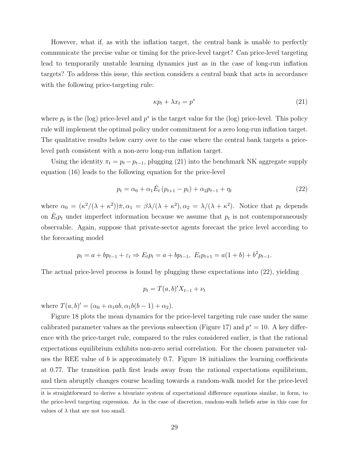However, what if, as with the inflation target, the central bank is unable to perfectly communicate the precise value or timing for the price-level target? Can price-level targeting lead to temporarily unstable learning dynamics just as in the case of long-run inflation targets? To address this issue, this section considers a central bank that acts in accordance with the following price-targeting rule:

$$
\kappa p_t + \lambda x_t = p^* \tag{21}
$$

where  $p_t$  is the (log) price-level and  $p^*$  is the target value for the (log) price-level. This policy rule will implement the optimal policy under commitment for a zero long-run inflation target. The qualitative results below carry over to the case where the central bank targets a pricelevel path consistent with a non-zero long-run inflation target.

Using the identity  $\pi_t = p_t - p_{t-1}$ , plugging (21) into the benchmark NK aggregate supply equation (16) leads to the following equation for the price-level

$$
p_t = \alpha_0 + \alpha_1 \hat{E}_t (p_{t+1} - p_t) + \alpha_2 p_{t-1} + \eta_t \tag{22}
$$

where  $\alpha_0 = (\kappa^2/(\lambda + \kappa^2))\bar{\pi}, \alpha_1 = \beta\lambda/(\lambda + \kappa^2), \alpha_2 = \lambda/(\lambda + \kappa^2)$ . Notice that  $p_t$  depends on  $\hat{E}_t p_t$  under imperfect information because we assume that  $p_t$  is not contemporaneously observable. Again, suppose that private-sector agents forecast the price level according to the forecasting model

$$
p_t = a + bp_{t-1} + \varepsilon_t \Rightarrow E_t p_t = a + bp_{t-1}, \ E_t p_{t+1} = a(1+b) + b^2 p_{t-1}.
$$

The actual price-level process is found by plugging these expectations into (22), yielding

$$
p_t = T(a, b)'X_{t-1} + \nu_t
$$

where  $T(a, b)' = (\alpha_0 + \alpha_1 ab, \alpha_1 b(b - 1) + \alpha_2).$ 

Figure 18 plots the mean dynamics for the price-level targeting rule case under the same calibrated parameter values as the previous subsection (Figure 17) and  $p^* = 10$ . A key difference with the price-target rule, compared to the rules considered earlier, is that the rational expectations equilibrium exhibits non-zero serial correlation. For the chosen parameter values the REE value of b is approximately 0.7. Figure 18 initializes the learning coefficients at 0.77. The transition path first leads away from the rational expectations equilibrium, and then abruptly changes course heading towards a random-walk model for the price-level

it is straightforward to derive a bivariate system of expectational difference equations similar, in form, to the price-level targeting expression. As in the case of discretion, random-walk beliefs arise in this case for values of  $\lambda$  that are not too small.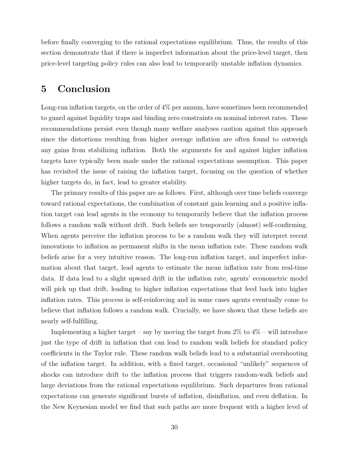before finally converging to the rational expectations equilibrium. Thus, the results of this section demonstrate that if there is imperfect information about the price-level target, then price-level targeting policy rules can also lead to temporarily unstable inflation dynamics.

## 5 Conclusion

Long-run inflation targets, on the order of 4% per annum, have sometimes been recommended to guard against liquidity traps and binding zero constraints on nominal interest rates. These recommendations persist even though many welfare analyses caution against this approach since the distortions resulting from higher average inflation are often found to outweigh any gains from stabilizing inflation. Both the arguments for and against higher inflation targets have typically been made under the rational expectations assumption. This paper has revisited the issue of raising the inflation target, focusing on the question of whether higher targets do, in fact, lead to greater stability.

The primary results of this paper are as follows. First, although over time beliefs converge toward rational expectations, the combination of constant gain learning and a positive inflation target can lead agents in the economy to temporarily believe that the inflation process follows a random walk without drift. Such beliefs are temporarily (almost) self-confirming. When agents perceive the inflation process to be a random walk they will interpret recent innovations to inflation as permanent shifts in the mean inflation rate. These random walk beliefs arise for a very intuitive reason. The long-run inflation target, and imperfect information about that target, lead agents to estimate the mean inflation rate from real-time data. If data lead to a slight upward drift in the inflation rate, agents' econometric model will pick up that drift, leading to higher inflation expectations that feed back into higher inflation rates. This process is self-reinforcing and in some cases agents eventually come to believe that inflation follows a random walk. Crucially, we have shown that these beliefs are nearly self-fulfilling.

Implementing a higher target – say by moving the target from  $2\%$  to  $4\%$  – will introduce just the type of drift in inflation that can lead to random walk beliefs for standard policy coefficients in the Taylor rule. These random walk beliefs lead to a substantial overshooting of the inflation target. In addition, with a fixed target, occasional "unlikely" sequences of shocks can introduce drift to the inflation process that triggers random-walk beliefs and large deviations from the rational expectations equilibrium. Such departures from rational expectations can generate significant bursts of inflation, disinflation, and even deflation. In the New Keynesian model we find that such paths are more frequent with a higher level of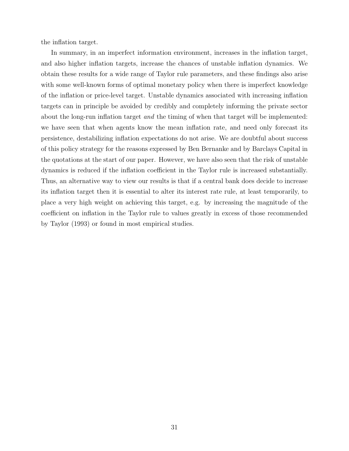the inflation target.

In summary, in an imperfect information environment, increases in the inflation target, and also higher inflation targets, increase the chances of unstable inflation dynamics. We obtain these results for a wide range of Taylor rule parameters, and these findings also arise with some well-known forms of optimal monetary policy when there is imperfect knowledge of the inflation or price-level target. Unstable dynamics associated with increasing inflation targets can in principle be avoided by credibly and completely informing the private sector about the long-run inflation target and the timing of when that target will be implemented: we have seen that when agents know the mean inflation rate, and need only forecast its persistence, destabilizing inflation expectations do not arise. We are doubtful about success of this policy strategy for the reasons expressed by Ben Bernanke and by Barclays Capital in the quotations at the start of our paper. However, we have also seen that the risk of unstable dynamics is reduced if the inflation coefficient in the Taylor rule is increased substantially. Thus, an alternative way to view our results is that if a central bank does decide to increase its inflation target then it is essential to alter its interest rate rule, at least temporarily, to place a very high weight on achieving this target, e.g. by increasing the magnitude of the coefficient on inflation in the Taylor rule to values greatly in excess of those recommended by Taylor (1993) or found in most empirical studies.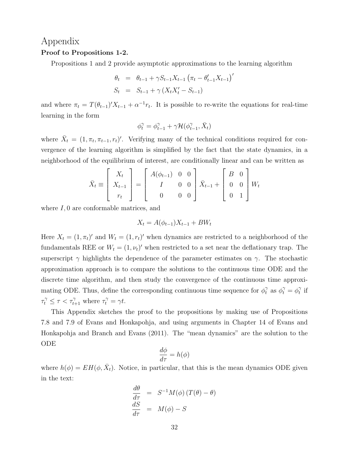### Appendix

### Proof to Propositions 1-2.

Propositions 1 and 2 provide asymptotic approximations to the learning algorithm

$$
\theta_t = \theta_{t-1} + \gamma S_{t-1} X_{t-1} (\pi_t - \theta'_{t-1} X_{t-1})'
$$
  

$$
S_t = S_{t-1} + \gamma (X_t X'_t - S_{t-1})
$$

and where  $\pi_t = T(\theta_{t-1})'X_{t-1} + \alpha^{-1}r_t$ . It is possible to re-write the equations for real-time learning in the form

$$
\phi_t^\gamma = \phi_{t-1}^\gamma + \gamma \mathcal{H}(\phi_{t-1}^\gamma, \bar{X}_t)
$$

where  $\bar{X}_t = (1, \pi_t, \pi_{t-1}, r_t)'$ . Verifying many of the technical conditions required for convergence of the learning algorithm is simplified by the fact that the state dynamics, in a neighborhood of the equilibrium of interest, are conditionally linear and can be written as

$$
\bar{X}_t \equiv \begin{bmatrix} X_t \\ X_{t-1} \\ r_t \end{bmatrix} = \begin{bmatrix} A(\phi_{t-1}) & 0 & 0 \\ I & 0 & 0 \\ 0 & 0 & 0 \end{bmatrix} \bar{X}_{t-1} + \begin{bmatrix} B & 0 \\ 0 & 0 \\ 0 & 1 \end{bmatrix} W_t
$$

where  $I$ , 0 are conformable matrices, and

$$
X_t = A(\phi_{t-1})X_{t-1} + BW_t
$$

Here  $X_t = (1, \pi_t)'$  and  $W_t = (1, r_t)'$  when dynamics are restricted to a neighborhood of the fundamentals REE or  $W_t = (1, \nu_t)'$  when restricted to a set near the deflationary trap. The superscript  $\gamma$  highlights the dependence of the parameter estimates on  $\gamma$ . The stochastic approximation approach is to compare the solutions to the continuous time ODE and the discrete time algorithm, and then study the convergence of the continuous time approximating ODE. Thus, define the corresponding continuous time sequence for  $\phi_t^{\gamma}$  as  $\phi_t^{\gamma} = \phi_t^{\gamma}$  $\int_t^{\gamma}$  if  $\tau_t^{\gamma} \leq \tau < \tau_{t+1}^{\gamma}$  where  $\tau_t^{\gamma} = \gamma t$ .

This Appendix sketches the proof to the propositions by making use of Propositions 7.8 and 7.9 of Evans and Honkapohja, and using arguments in Chapter 14 of Evans and Honkapohja and Branch and Evans (2011). The "mean dynamics" are the solution to the ODE

$$
\frac{d\phi}{d\tau} = h(\phi)
$$

where  $h(\phi) = EH(\phi, \bar{X}_t)$ . Notice, in particular, that this is the mean dynamics ODE given in the text:

$$
\frac{d\theta}{d\tau} = S^{-1}M(\phi) (T(\theta) - \theta)
$$

$$
\frac{dS}{d\tau} = M(\phi) - S
$$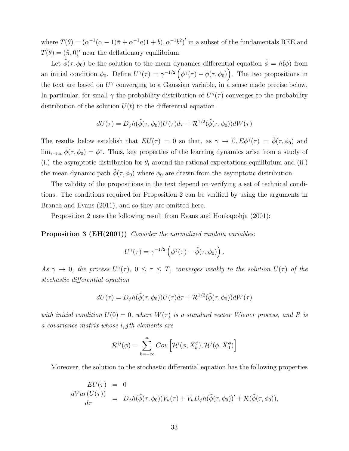where  $T(\theta) = (\alpha^{-1}(\alpha - 1)\bar{\pi} + \alpha^{-1}a(1 + b), \alpha^{-1}b^2)'$  in a subset of the fundamentals REE and  $T(\theta) = (\tilde{\pi}, 0)'$  near the deflationary equilibrium.

Let  $\tilde{\phi}(\tau, \phi_0)$  be the solution to the mean dynamics differential equation  $\dot{\phi} = h(\phi)$  from an initial condition  $\phi_0$ . Define  $U^{\gamma}(\tau) = \gamma^{-1/2} \left( \phi^{\gamma}(\tau) - \tilde{\phi}(\tau, \phi_0) \right)$ . The two propositions in the text are based on  $U^{\gamma}$  converging to a Gaussian variable, in a sense made precise below. In particular, for small  $\gamma$  the probability distribution of  $U^{\gamma}(\tau)$  converges to the probability distribution of the solution  $U(t)$  to the differential equation

$$
dU(\tau) = D_{\phi}h(\tilde{\phi}(\tau,\phi_0))U(\tau)d\tau + \mathcal{R}^{1/2}(\tilde{\phi}(\tau,\phi_0))dW(\tau)
$$

The results below establish that  $EU(\tau) = 0$  so that, as  $\gamma \to 0, E\phi^{\gamma}(\tau) = \tilde{\phi}(\tau, \phi_0)$  and  $\lim_{\tau\to\infty}\tilde{\phi}(\tau,\phi_0)=\phi^*$ . Thus, key properties of the learning dynamics arise from a study of (i.) the asymptotic distribution for  $\theta_t$  around the rational expectations equilibrium and (ii.) the mean dynamic path  $\tilde{\phi}(\tau, \phi_0)$  where  $\phi_0$  are drawn from the asymptotic distribution.

The validity of the propositions in the text depend on verifying a set of technical conditions. The conditions required for Proposition 2 can be verified by using the arguments in Branch and Evans (2011), and so they are omitted here.

Proposition 2 uses the following result from Evans and Honkapohja (2001):

Proposition 3 (EH(2001)) Consider the normalized random variables:

$$
U^{\gamma}(\tau) = \gamma^{-1/2} \left( \phi^{\gamma}(\tau) - \tilde{\phi}(\tau, \phi_0) \right).
$$

As  $\gamma \to 0$ , the process  $U^{\gamma}(\tau)$ ,  $0 \leq \tau \leq T$ , converges weakly to the solution  $U(\tau)$  of the stochastic differential equation

$$
dU(\tau) = D_{\phi}h(\tilde{\phi}(\tau,\phi_0))U(\tau)d\tau + \mathcal{R}^{1/2}(\tilde{\phi}(\tau,\phi_0))dW(\tau)
$$

with initial condition  $U(0) = 0$ , where  $W(\tau)$  is a standard vector Wiener process, and R is a covariance matrix whose i, jth elements are

$$
\mathcal{R}^{ij}(\phi) = \sum_{k=-\infty}^{\infty} Cov\left[\mathcal{H}^{i}(\phi, \bar{X}_{k}^{\phi}), \mathcal{H}^{j}(\phi, \bar{X}_{0}^{\phi})\right]
$$

Moreover, the solution to the stochastic differential equation has the following properties

$$
\frac{EU(\tau)}{d\tau} = 0
$$
  

$$
\frac{dVar(U(\tau))}{d\tau} = D_{\phi}h(\tilde{\phi}(\tau,\phi_0))V_u(\tau) + V_u D_{\phi}h(\tilde{\phi}(\tau,\phi_0))' + \mathcal{R}(\tilde{\phi}(\tau,\phi_0)),
$$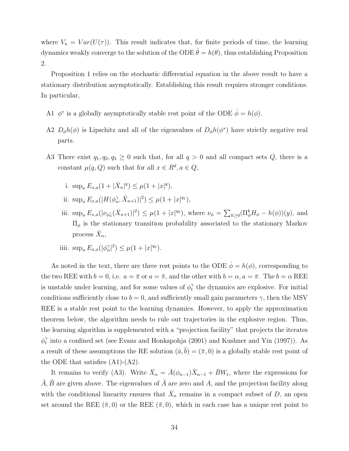where  $V_u = Var(U(\tau))$ . This result indicates that, for finite periods of time, the learning dynamics weakly converge to the solution of the ODE  $\dot{\theta} = h(\theta)$ , thus establishing Proposition 2.

Proposition 1 relies on the stochastic differential equation in the above result to have a stationary distribution asymptotically. Establishing this result requires stronger conditions. In particular,

- A1  $\phi^*$  is a globally asymptotically stable rest point of the ODE  $\dot{\phi} = h(\phi)$ .
- A2  $D_{\phi}h(\phi)$  is Lipschitz and all of the eigenvalues of  $D_{\phi}h(\phi^*)$  have strictly negative real parts.
- A3 There exist  $q_1, q_2, q_3 \geq 0$  such that, for all  $q > 0$  and all compact sets Q, there is a constant  $\mu(q, Q)$  such that for all  $x \in R^d, a \in Q$ ,
	- i.  $\sup_n E_{x,a}(1+|\bar{X}_n|^q) \leq \mu(1+|x|^q),$
	- ii.  $\sup_n E_{x,a}(|H(\phi_n^{\gamma}, \bar{X}_{n+1})|^2) \leq \mu(1+|x|^{q_1}),$
	- iii.  $\sup_n E_{x,a}(|\nu_{\phi_n}(\bar{X}_{n+1})|^2) \leq \mu(1+|x|^{q_2}),$  where  $\nu_{\phi} = \sum_{k\geq 0} (\prod_{\phi}^k H_{\phi} h(\phi))(y)$ , and  $\Pi_{\phi}$  is the stationary transition probability associated to the stationary Markov process  $\bar{X}_n$ ,
	- iiii.  $\sup_n E_{x,a}(|\phi_n^{\gamma}|^2) \leq \mu(1+|x|^{q_3}).$

As noted in the text, there are three rest points to the ODE  $\dot{\phi} = h(\phi)$ , corresponding to the two REE with  $b = 0$ , i.e.  $a = \bar{\pi}$  or  $a = \tilde{\pi}$ , and the other with  $b = \alpha$ ,  $a = \bar{\pi}$ . The  $b = \alpha$  REE is unstable under learning, and for some values of  $\phi_t^{\gamma}$  $t<sub>t</sub><sup>\gamma</sup>$  the dynamics are explosive. For initial conditions sufficiently close to  $b = 0$ , and sufficiently small gain parameters  $\gamma$ , then the MSV REE is a stable rest point to the learning dynamics. However, to apply the approximation theorem below, the algorithm needs to rule out trajectories in the explosive region. Thus, the learning algorithm is supplemented with a "projection facility" that projects the iterates  $\phi_t^{\gamma}$  $t<sub>t</sub><sup>gamma</sup>$  into a confined set (see Evans and Honkapohja (2001) and Kushner and Yin (1997)). As a result of these assumptions the RE solution  $(\bar{a}, \bar{b}) = (\bar{\pi}, 0)$  is a globally stable rest point of the ODE that satisfies  $(A1)-(A2)$ .

It remains to verify (A3). Write  $\bar{X}_n = \bar{A}(\phi_{n-1})\bar{X}_{n-1} + \bar{B}W_t$ , where the expressions for  $\bar{A}, \bar{B}$  are given above. The eigenvalues of  $\bar{A}$  are zero and A, and the projection facility along with the conditional linearity ensures that  $\bar{X}_n$  remains in a compact subset of D, an open set around the REE  $(\bar{\pi}, 0)$  or the REE  $(\tilde{\pi}, 0)$ , which in each case has a unique rest point to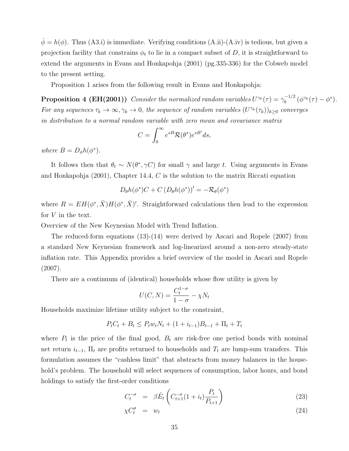$\dot{\phi} = h(\phi)$ . Thus (A3.i) is immediate. Verifying conditions (A.ii)-(A.iv) is tedious, but given a projection facility that constrains  $\phi_t$  to lie in a compact subset of D, it is straightforward to extend the arguments in Evans and Honkapohja (2001) (pg.335-336) for the Cobweb model to the present setting.

Proposition 1 arises from the following result in Evans and Honkapohja:

**Proposition 4 (EH(2001))** Consider the normalized random variables  $U^{\gamma_k}(\tau) = \gamma_k^{-1/2}$  $\int_k^{-1/2} (\phi^{\gamma_k}(\tau) - \phi^*).$ For any sequences  $\tau_k \to \infty$ ,  $\gamma_k \to 0$ , the sequence of random variables  $(U^{\gamma_k}(\tau_k))_{k\geq 0}$  converges in distribution to a normal random variable with zero mean and covariance matrix

$$
C = \int_0^\infty e^{sB} \mathcal{R}(\theta^*) e^{sB'} ds,
$$

where  $B = D_{\phi}h(\phi^*).$ 

It follows then that  $\theta_t \sim N(\theta^*, \gamma C)$  for small  $\gamma$  and large t. Using arguments in Evans and Honkapohja (2001), Chapter 14.4, C is the solution to the matrix Riccati equation

$$
D_{\theta}h(\phi^*)C + C\left(D_{\theta}h(\phi^*)\right)' = -\mathcal{R}_{\theta}(\phi^*)
$$

where  $R = EH(\phi^*, \bar{X})H(\phi^*, \bar{X})'$ . Straightforward calculations then lead to the expression for  $V$  in the text.

Overview of the New Keynesian Model with Trend Inflation.

The reduced-form equations (13)-(14) were derived by Ascari and Ropele (2007) from a standard New Keynesian framework and log-linearized around a non-zero steady-state inflation rate. This Appendix provides a brief overview of the model in Ascari and Ropele (2007).

There are a continuum of (identical) households whose flow utility is given by

$$
U(C, N) = \frac{C_t^{1-\sigma}}{1-\sigma} - \chi N_t
$$

Households maximize lifetime utility subject to the constraint,

$$
P_t C_t + B_t \le P_t w_t N_t + (1 + i_{t-1}) B_{t-1} + \Pi_t + T_t
$$

where  $P_t$  is the price of the final good,  $B_t$  are risk-free one period bonds with nominal net return  $i_{t-1}$ ,  $\Pi_t$  are profits returned to households and  $T_t$  are lump-sum transfers. This formulation assumes the "cashless limit" that abstracts from money balances in the household's problem. The household will select sequences of consumption, labor hours, and bond holdings to satisfy the first-order conditions

$$
C_t^{-\sigma} = \beta \hat{E}_t \left( C_{t+1}^{-\sigma} (1 + i_t) \frac{P_t}{P_{t+1}} \right) \tag{23}
$$

$$
\chi C_t^{\sigma} = w_t \tag{24}
$$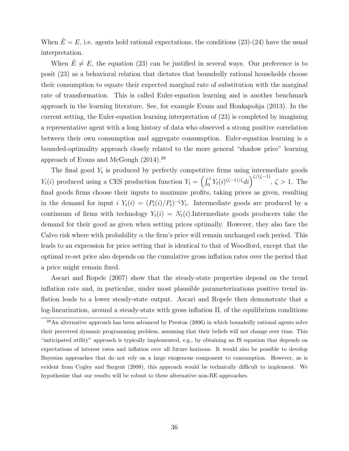When  $\hat{E} = E$ , i.e. agents hold rational expectations, the conditions (23)-(24) have the usual interpretation.

When  $E \neq E$ , the equation (23) can be justified in several ways. Our preference is to posit (23) as a behavioral relation that dictates that boundedly rational households choose their consumption to equate their expected marginal rate of substitution with the marginal rate of transformation. This is called Euler-equation learning and is another benchmark approach in the learning literature. See, for example Evans and Honkapohja (2013). In the current setting, the Euler-equation learning interpretation of (23) is completed by imagining a representative agent with a long history of data who observed a strong positive correlation between their own consumption and aggregate consumption. Euler-equation learning is a bounded-optimality approach closely related to the more general "shadow price" learning approach of Evans and McGough (2014).<sup>28</sup>

The final good  $Y_t$  is produced by perfectly competitive firms using intermediate goods  $Y_t(i)$  produced using a CES production function  $Y_t = \left(\int_0^1 Y_t(i)^{(\zeta-1)/\zeta} di\right)^{\zeta/(\zeta-1)}$ ,  $\zeta > 1$ . The final goods firms choose their inputs to maximize profits, taking prices as given, resulting in the demand for input  $i Y_t(i) = (P_t(i)/P_t)^{-\zeta} Y_t$ . Intermediate goods are produced by a continuum of firms with technology  $Y_t(i) = N_t(i)$ . Intermediate goods producers take the demand for their good as given when setting prices optimally. However, they also face the Calvo risk where with probability  $\alpha$  the firm's price will remain unchanged each period. This leads to an expression for price setting that is identical to that of Woodford, except that the optimal re-set price also depends on the cumulative gross inflation rates over the period that a price might remain fixed.

Ascari and Ropele (2007) show that the steady-state properties depend on the trend inflation rate and, in particular, under most plausible parameterizations positive trend inflation leads to a lower steady-state output. Ascari and Ropele then demonstrate that a log-linearization, around a steady-state with gross inflation Π, of the equilibrium conditions

<sup>&</sup>lt;sup>28</sup>An alternative approach has been advanced by Preston (2006) in which boundedly rational agents solve their perceived dynamic programming problem, assuming that their beliefs will not change over time. This "anticipated utility" approach is typically implemented, e.g., by obtaining an IS equation that depends on expectations of interest rates and inflation over all future horizons. It would also be possible to develop Bayesian approaches that do not rely on a large exogenous component to consumption. However, as is evident from Cogley and Sargent (2008), this approach would be technically difficult to implement. We hypothesize that our results will be robust to these alternative non-RE approaches.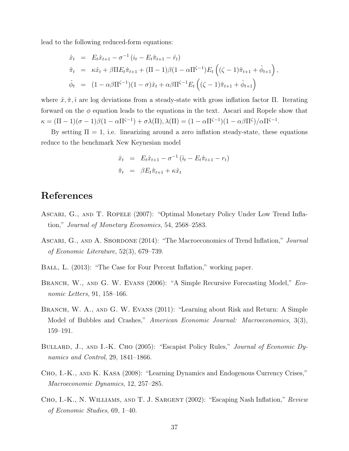lead to the following reduced-form equations:

$$
\hat{x}_t = E_t \hat{x}_{t+1} - \sigma^{-1} (i_t - E_t \hat{\pi}_{t+1} - \hat{r}_t) \n\hat{\pi}_t = \kappa \hat{x}_t + \beta \Pi E_t \hat{\pi}_{t+1} + (\Pi - 1) \beta (1 - \alpha \Pi^{\zeta - 1}) E_t ((\zeta - 1) \hat{\pi}_{t+1} + \hat{\phi}_{t+1}), \n\hat{\phi}_t = (1 - \alpha \beta \Pi^{\zeta - 1}) (1 - \sigma) \hat{x}_t + \alpha \beta \Pi^{\zeta - 1} E_t ((\zeta - 1) \hat{\pi}_{t+1} + \hat{\phi}_{t+1})
$$

where  $\hat{x}, \hat{\pi}, \hat{i}$  are log deviations from a steady-state with gross inflation factor Π. Iterating forward on the  $\phi$  equation leads to the equations in the text. Ascari and Ropele show that  $\kappa = (\Pi - 1)(\sigma - 1)\beta(1 - \alpha \Pi^{\zeta - 1}) + \sigma\lambda(\Pi), \lambda(\Pi) = (1 - \alpha \Pi^{\zeta - 1})(1 - \alpha\beta\Pi^{\zeta})/\alpha\Pi^{\zeta - 1}.$ 

By setting  $\Pi = 1$ , i.e. linearizing around a zero inflation steady-state, these equations reduce to the benchmark New Keynesian model

$$
\begin{aligned}\n\hat{x}_t &= E_t \hat{x}_{t+1} - \sigma^{-1} (\hat{i}_t - E_t \hat{\pi}_{t+1} - r_t) \\
\hat{\pi}_t &= \beta E_t \hat{\pi}_{t+1} + \kappa \hat{x}_t\n\end{aligned}
$$

## References

- Ascari, G., and T. Ropele (2007): "Optimal Monetary Policy Under Low Trend Inflation," Journal of Monetary Economics, 54, 2568–2583.
- ASCARI, G., AND A. SBORDONE (2014): "The Macroeconomics of Trend Inflation," Journal of Economic Literature, 52(3), 679–739.
- BALL, L. (2013): "The Case for Four Percent Inflation," working paper.
- BRANCH, W., AND G. W. EVANS (2006): "A Simple Recursive Forecasting Model," *Eco*nomic Letters, 91, 158–166.
- BRANCH, W. A., AND G. W. EVANS (2011): "Learning about Risk and Return: A Simple Model of Bubbles and Crashes," American Economic Journal: Macroeconomics, 3(3), 159–191.
- BULLARD, J., AND I.-K. CHO (2005): "Escapist Policy Rules," *Journal of Economic Dy*namics and Control, 29, 1841–1866.
- Cho, I.-K., and K. Kasa (2008): "Learning Dynamics and Endogenous Currency Crises," Macroeconomic Dynamics, 12, 257–285.
- Cho, I.-K., N. Williams, and T. J. Sargent (2002): "Escaping Nash Inflation," Review of Economic Studies, 69, 1–40.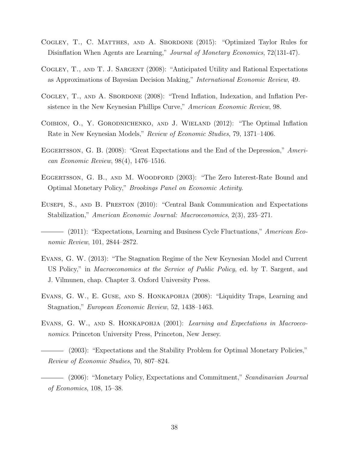- Cogley, T., C. Matthes, and A. Sbordone (2015): "Optimized Taylor Rules for Disinflation When Agents are Learning," Journal of Monetary Economics, 72(131-47).
- COGLEY, T., AND T. J. SARGENT (2008): "Anticipated Utility and Rational Expectations as Approximations of Bayesian Decision Making," International Economic Review, 49.
- COGLEY, T., AND A. SBORDONE (2008): "Trend Inflation, Indexation, and Inflation Persistence in the New Keynesian Phillips Curve," American Economic Review, 98.
- COIBION, O., Y. GORODNICHENKO, AND J. WIELAND (2012): "The Optimal Inflation Rate in New Keynesian Models," Review of Economic Studies, 79, 1371–1406.
- EGGERTSSON, G. B. (2008): "Great Expectations and the End of the Depression," American Economic Review, 98(4), 1476–1516.
- EGGERTSSON, G. B., AND M. WOODFORD (2003): "The Zero Interest-Rate Bound and Optimal Monetary Policy," Brookings Panel on Economic Activity.
- Eusepi, S., and B. Preston (2010): "Central Bank Communication and Expectations Stabilization," American Economic Journal: Macroeconomics, 2(3), 235–271.
- (2011): "Expectations, Learning and Business Cycle Fluctuations," American Economic Review, 101, 2844–2872.
- Evans, G. W. (2013): "The Stagnation Regime of the New Keynesian Model and Current US Policy," in Macroeconomics at the Service of Public Policy, ed. by T. Sargent, and J. Vilmunen, chap. Chapter 3. Oxford University Press.
- Evans, G. W., E. Guse, and S. Honkapohja (2008): "Liquidity Traps, Learning and Stagnation," European Economic Review, 52, 1438–1463.
- EVANS, G. W., AND S. HONKAPOHJA (2001): Learning and Expectations in Macroeconomics. Princeton University Press, Princeton, New Jersey.
- (2003): "Expectations and the Stability Problem for Optimal Monetary Policies," Review of Economic Studies, 70, 807–824.
- (2006): "Monetary Policy, Expectations and Commitment," Scandinavian Journal of Economics, 108, 15–38.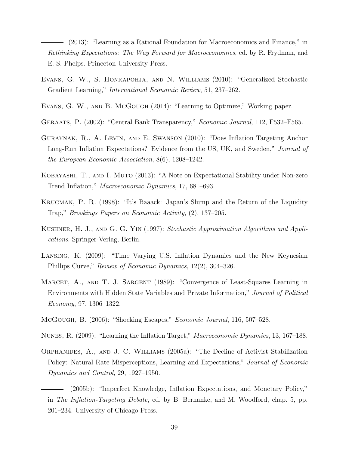(2013): "Learning as a Rational Foundation for Macroeconomics and Finance," in Rethinking Expectations: The Way Forward for Macroeconomics, ed. by R. Frydman, and E. S. Phelps. Princeton University Press.

- Evans, G. W., S. Honkapohja, and N. Williams (2010): "Generalized Stochastic Gradient Learning," International Economic Review, 51, 237–262.
- Evans, G. W., and B. McGough (2014): "Learning to Optimize," Working paper.
- Geraats, P. (2002): "Central Bank Transparency," Economic Journal, 112, F532–F565.
- Guraynak, R., A. Levin, and E. Swanson (2010): "Does Inflation Targeting Anchor Long-Run Inflation Expectations? Evidence from the US, UK, and Sweden," *Journal of* the European Economic Association, 8(6), 1208–1242.
- Kobayashi, T., and I. Muto (2013): "A Note on Expectational Stability under Non-zero Trend Inflation," Macroeconomic Dynamics, 17, 681–693.
- Krugman, P. R. (1998): "It's Baaack: Japan's Slump and the Return of the Liquidity Trap," Brookings Papers on Economic Activity, (2), 137–205.
- KUSHNER, H. J., AND G. G. YIN (1997): Stochastic Approximation Algorithms and Applications. Springer-Verlag, Berlin.
- Lansing, K. (2009): "Time Varying U.S. Inflation Dynamics and the New Keynesian Phillips Curve," Review of Economic Dynamics, 12(2), 304–326.
- MARCET, A., AND T. J. SARGENT (1989): "Convergence of Least-Squares Learning in Environments with Hidden State Variables and Private Information," Journal of Political Economy, 97, 1306–1322.
- McGough, B. (2006): "Shocking Escapes," Economic Journal, 116, 507–528.
- Nunes, R. (2009): "Learning the Inflation Target," Macroeconomic Dynamics, 13, 167–188.
- Orphanides, A., and J. C. Williams (2005a): "The Decline of Activist Stabilization Policy: Natural Rate Misperceptions, Learning and Expectations," Journal of Economic Dynamics and Control, 29, 1927–1950.

<sup>(2005</sup>b): "Imperfect Knowledge, Inflation Expectations, and Monetary Policy," in The Inflation-Targeting Debate, ed. by B. Bernanke, and M. Woodford, chap. 5, pp. 201–234. University of Chicago Press.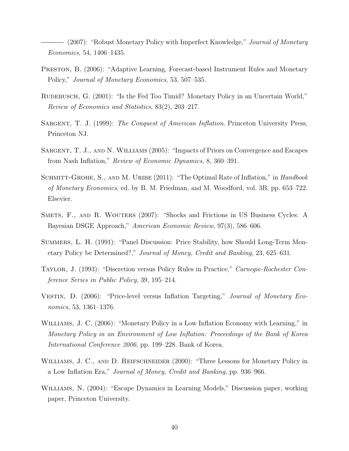- (2007): "Robust Monetary Policy with Imperfect Knowledge," *Journal of Monetary* Economics, 54, 1406–1435.

- PRESTON, B. (2006): "Adaptive Learning, Forecast-based Instrument Rules and Monetary Policy," Journal of Monetary Economics, 53, 507–535.
- RUDEBUSCH, G. (2001): "Is the Fed Too Timid? Monetary Policy in an Uncertain World," Review of Economics and Statistics, 83(2), 203–217.
- SARGENT, T. J. (1999): The Conquest of American Inflation. Princeton University Press, Princeton NJ.
- SARGENT, T. J., AND N. WILLIAMS (2005): "Impacts of Priors on Convergence and Escapes from Nash Inflation," Review of Economic Dynamics, 8, 360–391.
- SCHMITT-GROHE, S., AND M. URIBE (2011): "The Optimal Rate of Inflation," in *Handbook* of Monetary Economics, ed. by B. M. Friedman, and M. Woodford, vol. 3B, pp. 653–722. Elsevier.
- Smets, F., and R. Wouters (2007): "Shocks and Frictions in US Business Cycles: A Bayesian DSGE Approach," American Economic Review, 97(3), 586–606.
- Summers, L. H. (1991): "Panel Discussion: Price Stability, how Should Long-Term Monetary Policy be Determined?," Journal of Money, Credit and Banking, 23, 625–631.
- Taylor, J. (1993): "Discretion versus Policy Rules in Practice," Carnegie-Rochester Conference Series in Public Policy, 39, 195–214.
- VESTIN, D. (2006): "Price-level versus Inflation Targeting," Journal of Monetary Economics, 53, 1361–1376.
- Williams, J. C. (2006): "Monetary Policy in a Low Inflation Economy with Learning," in Monetary Policy in an Environment of Low Inflation: Proceedings of the Bank of Korea International Conference 2006, pp. 199–228. Bank of Korea.
- WILLIAMS, J. C., AND D. REIFSCHNEIDER (2000): "Three Lessons for Monetary Policy in a Low Inflation Era," Journal of Money, Credit and Banking, pp. 936–966.
- Williams, N. (2004): "Escape Dynamics in Learning Models," Discussion paper, working paper, Princeton University.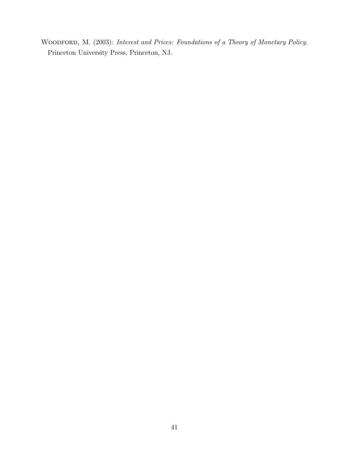WOODFORD, M. (2003): Interest and Prices: Foundations of a Theory of Monetary Policy. Princeton University Press, Princeton, NJ.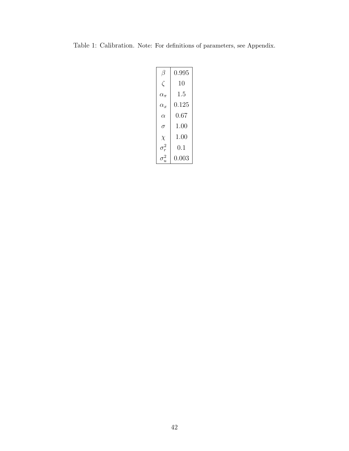| B              | 0.995     |
|----------------|-----------|
| $\zeta$        | 10        |
| $\alpha_{\pi}$ | 1.5       |
| $\alpha_r$     | 0.125     |
| $\alpha$       | 0.67      |
| σ              | 1.00      |
| $\chi$         | $1.00\,$  |
| $\sigma_r^2$   | 0.1       |
| $\sigma^2_u$   | $0.003\,$ |

Table 1: Calibration. Note: For definitions of parameters, see Appendix.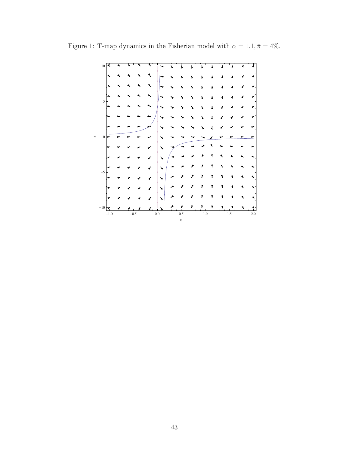

Figure 1: T-map dynamics in the Fisherian model with  $\alpha = 1.1, \bar{\pi} = 4\%.$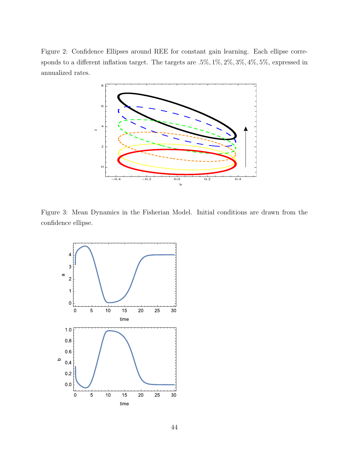Figure 2: Confidence Ellipses around REE for constant gain learning. Each ellipse corresponds to a different inflation target. The targets are .5%, 1%, 2%, 3%, 4%, 5%, expressed in annualized rates.



Figure 3: Mean Dynamics in the Fisherian Model. Initial conditions are drawn from the confidence ellipse.

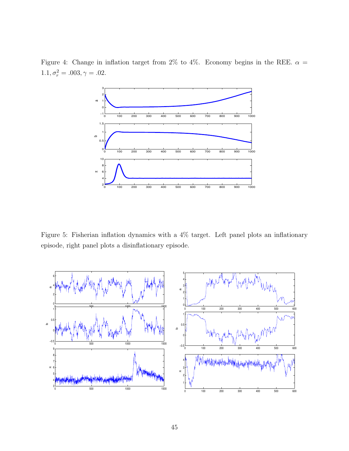Figure 4: Change in inflation target from 2% to 4%. Economy begins in the REE.  $\alpha =$  $1.1, \sigma_r^2 = .003, \gamma = .02.$ 



Figure 5: Fisherian inflation dynamics with a 4% target. Left panel plots an inflationary episode, right panel plots a disinflationary episode.

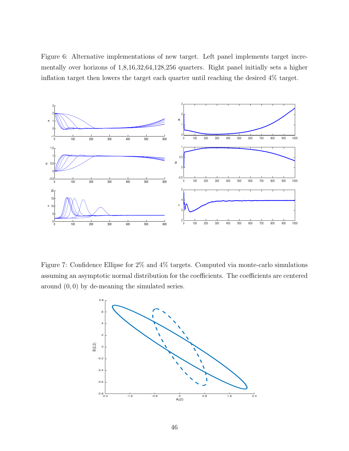Figure 6: Alternative implementations of new target. Left panel implements target incrementally over horizons of 1,8,16,32,64,128,256 quarters. Right panel initially sets a higher inflation target then lowers the target each quarter until reaching the desired 4% target.



Figure 7: Confidence Ellipse for 2% and 4% targets. Computed via monte-carlo simulations assuming an asymptotic normal distribution for the coefficients. The coefficients are centered around  $(0, 0)$  by de-meaning the simulated series.

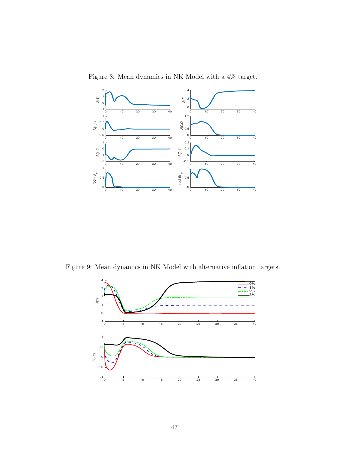

Figure 8: Mean dynamics in NK Model with a 4% target.

Figure 9: Mean dynamics in NK Model with alternative inflation targets.

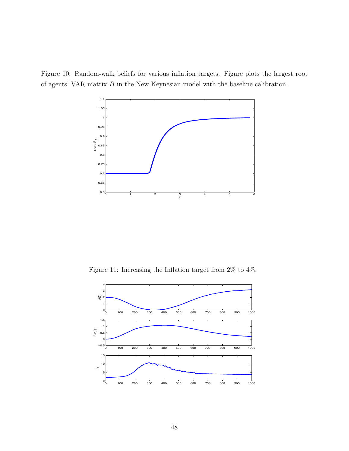Figure 10: Random-walk beliefs for various inflation targets. Figure plots the largest root of agents' VAR matrix  $B$  in the New Keynesian model with the baseline calibration.



Figure 11: Increasing the Inflation target from 2% to 4%.

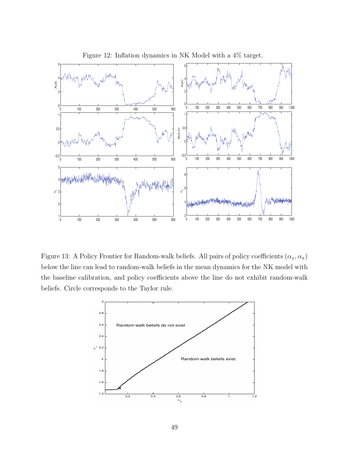

Figure 12: Inflation dynamics in NK Model with a 4% target.

Figure 13: A Policy Frontier for Random-walk beliefs. All pairs of policy coefficients  $(\alpha_x, \alpha_\pi)$ below the line can lead to random-walk beliefs in the mean dynamics for the NK model with the baseline calibration, and policy coefficients above the line do not exhibit random-walk beliefs. Circle corresponds to the Taylor rule.

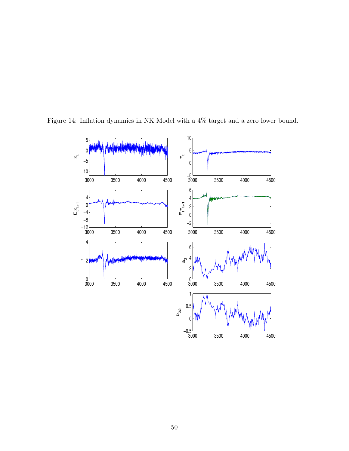

Figure 14: Inflation dynamics in NK Model with a 4% target and a zero lower bound.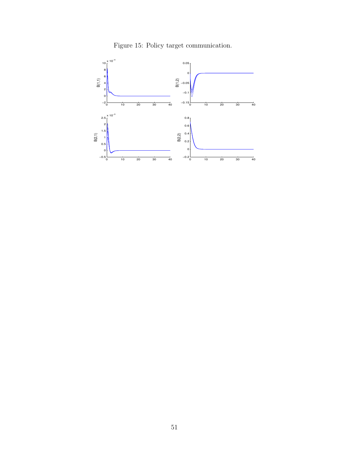Figure 15: Policy target communication.

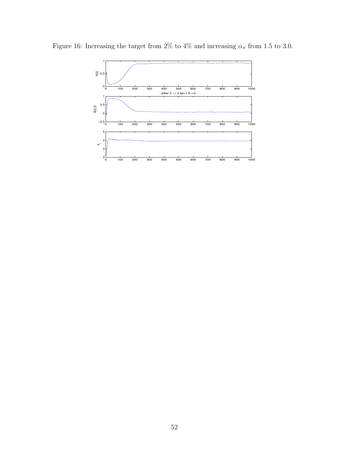

Figure 16: Increasing the target from 2% to 4% and increasing  $\alpha_{\pi}$  from 1.5 to 3.0.